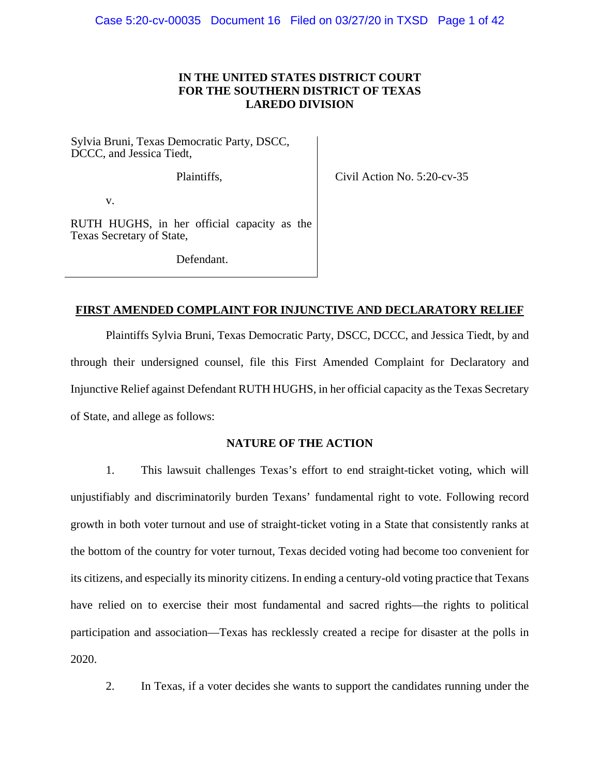# **IN THE UNITED STATES DISTRICT COURT FOR THE SOUTHERN DISTRICT OF TEXAS LAREDO DIVISION**

Sylvia Bruni, Texas Democratic Party, DSCC, DCCC, and Jessica Tiedt,

Plaintiffs,

Civil Action No. 5:20-cv-35

v.

RUTH HUGHS, in her official capacity as the Texas Secretary of State,

Defendant.

# **FIRST AMENDED COMPLAINT FOR INJUNCTIVE AND DECLARATORY RELIEF**

Plaintiffs Sylvia Bruni, Texas Democratic Party, DSCC, DCCC, and Jessica Tiedt, by and through their undersigned counsel, file this First Amended Complaint for Declaratory and Injunctive Relief against Defendant RUTH HUGHS, in her official capacity as the Texas Secretary of State, and allege as follows:

# **NATURE OF THE ACTION**

1. This lawsuit challenges Texas's effort to end straight-ticket voting, which will unjustifiably and discriminatorily burden Texans' fundamental right to vote. Following record growth in both voter turnout and use of straight-ticket voting in a State that consistently ranks at the bottom of the country for voter turnout, Texas decided voting had become too convenient for its citizens, and especially its minority citizens. In ending a century-old voting practice that Texans have relied on to exercise their most fundamental and sacred rights—the rights to political participation and association—Texas has recklessly created a recipe for disaster at the polls in 2020.

2. In Texas, if a voter decides she wants to support the candidates running under the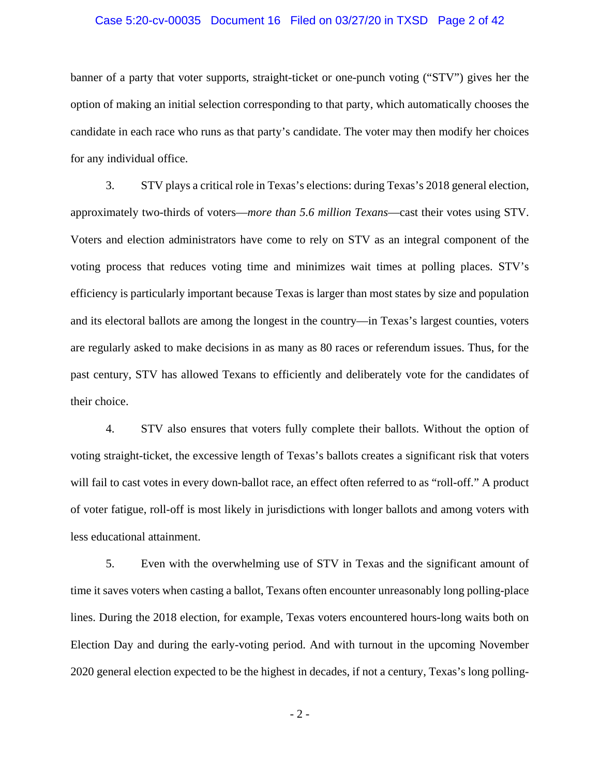### Case 5:20-cv-00035 Document 16 Filed on 03/27/20 in TXSD Page 2 of 42

banner of a party that voter supports, straight-ticket or one-punch voting ("STV") gives her the option of making an initial selection corresponding to that party, which automatically chooses the candidate in each race who runs as that party's candidate. The voter may then modify her choices for any individual office.

3. STV plays a critical role in Texas's elections: during Texas's 2018 general election, approximately two-thirds of voters—*more than 5.6 million Texans*—cast their votes using STV. Voters and election administrators have come to rely on STV as an integral component of the voting process that reduces voting time and minimizes wait times at polling places. STV's efficiency is particularly important because Texas is larger than most states by size and population and its electoral ballots are among the longest in the country—in Texas's largest counties, voters are regularly asked to make decisions in as many as 80 races or referendum issues. Thus, for the past century, STV has allowed Texans to efficiently and deliberately vote for the candidates of their choice.

4. STV also ensures that voters fully complete their ballots. Without the option of voting straight-ticket, the excessive length of Texas's ballots creates a significant risk that voters will fail to cast votes in every down-ballot race, an effect often referred to as "roll-off." A product of voter fatigue, roll-off is most likely in jurisdictions with longer ballots and among voters with less educational attainment.

5. Even with the overwhelming use of STV in Texas and the significant amount of time it saves voters when casting a ballot, Texans often encounter unreasonably long polling-place lines. During the 2018 election, for example, Texas voters encountered hours-long waits both on Election Day and during the early-voting period. And with turnout in the upcoming November 2020 general election expected to be the highest in decades, if not a century, Texas's long polling-

- 2 -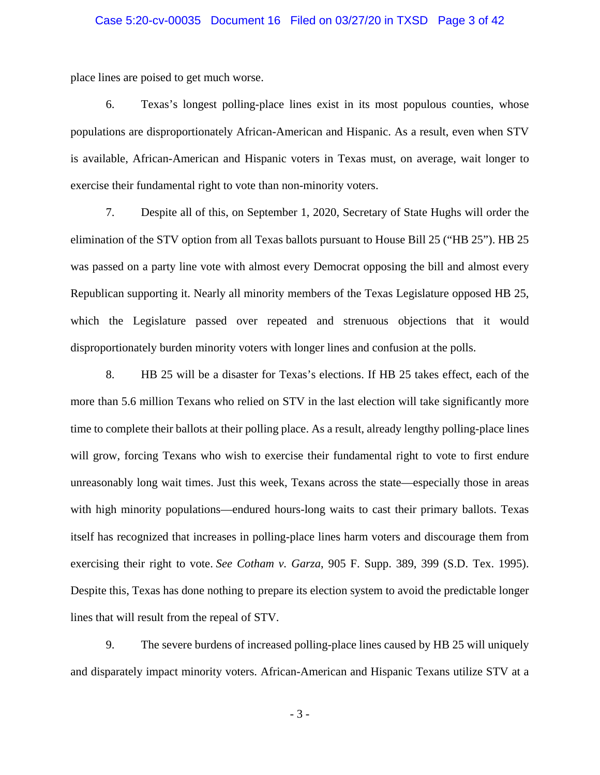### Case 5:20-cv-00035 Document 16 Filed on 03/27/20 in TXSD Page 3 of 42

place lines are poised to get much worse.

6. Texas's longest polling-place lines exist in its most populous counties, whose populations are disproportionately African-American and Hispanic. As a result, even when STV is available, African-American and Hispanic voters in Texas must, on average, wait longer to exercise their fundamental right to vote than non-minority voters.

7. Despite all of this, on September 1, 2020, Secretary of State Hughs will order the elimination of the STV option from all Texas ballots pursuant to House Bill 25 ("HB 25"). HB 25 was passed on a party line vote with almost every Democrat opposing the bill and almost every Republican supporting it. Nearly all minority members of the Texas Legislature opposed HB 25, which the Legislature passed over repeated and strenuous objections that it would disproportionately burden minority voters with longer lines and confusion at the polls.

8. HB 25 will be a disaster for Texas's elections. If HB 25 takes effect, each of the more than 5.6 million Texans who relied on STV in the last election will take significantly more time to complete their ballots at their polling place. As a result, already lengthy polling-place lines will grow, forcing Texans who wish to exercise their fundamental right to vote to first endure unreasonably long wait times. Just this week, Texans across the state—especially those in areas with high minority populations—endured hours-long waits to cast their primary ballots. Texas itself has recognized that increases in polling-place lines harm voters and discourage them from exercising their right to vote. *See Cotham v. Garza*, 905 F. Supp. 389, 399 (S.D. Tex. 1995). Despite this, Texas has done nothing to prepare its election system to avoid the predictable longer lines that will result from the repeal of STV.

9. The severe burdens of increased polling-place lines caused by HB 25 will uniquely and disparately impact minority voters. African-American and Hispanic Texans utilize STV at a

- 3 -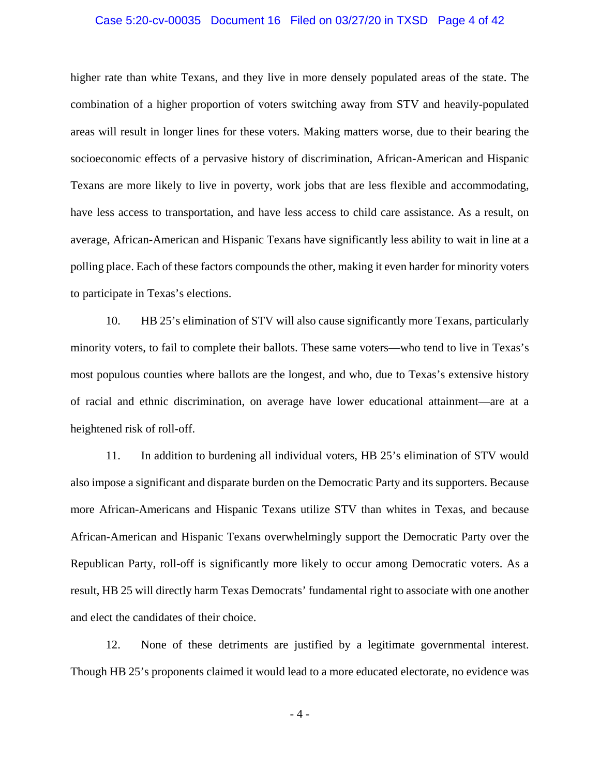### Case 5:20-cv-00035 Document 16 Filed on 03/27/20 in TXSD Page 4 of 42

higher rate than white Texans, and they live in more densely populated areas of the state. The combination of a higher proportion of voters switching away from STV and heavily-populated areas will result in longer lines for these voters. Making matters worse, due to their bearing the socioeconomic effects of a pervasive history of discrimination, African-American and Hispanic Texans are more likely to live in poverty, work jobs that are less flexible and accommodating, have less access to transportation, and have less access to child care assistance. As a result, on average, African-American and Hispanic Texans have significantly less ability to wait in line at a polling place. Each of these factors compounds the other, making it even harder for minority voters to participate in Texas's elections.

10. HB 25's elimination of STV will also cause significantly more Texans, particularly minority voters, to fail to complete their ballots. These same voters—who tend to live in Texas's most populous counties where ballots are the longest, and who, due to Texas's extensive history of racial and ethnic discrimination, on average have lower educational attainment—are at a heightened risk of roll-off.

11. In addition to burdening all individual voters, HB 25's elimination of STV would also impose a significant and disparate burden on the Democratic Party and its supporters. Because more African-Americans and Hispanic Texans utilize STV than whites in Texas, and because African-American and Hispanic Texans overwhelmingly support the Democratic Party over the Republican Party, roll-off is significantly more likely to occur among Democratic voters. As a result, HB 25 will directly harm Texas Democrats' fundamental right to associate with one another and elect the candidates of their choice.

12. None of these detriments are justified by a legitimate governmental interest. Though HB 25's proponents claimed it would lead to a more educated electorate, no evidence was

- 4 -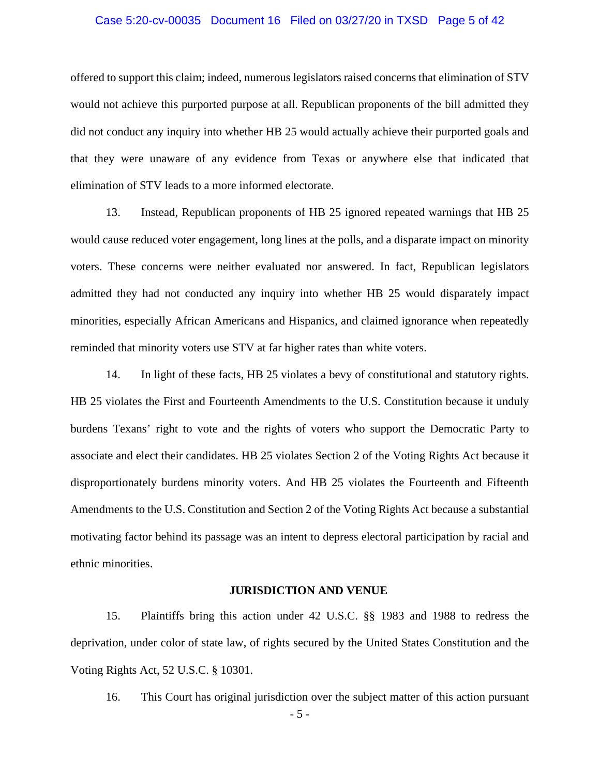### Case 5:20-cv-00035 Document 16 Filed on 03/27/20 in TXSD Page 5 of 42

offered to support this claim; indeed, numerous legislators raised concerns that elimination of STV would not achieve this purported purpose at all. Republican proponents of the bill admitted they did not conduct any inquiry into whether HB 25 would actually achieve their purported goals and that they were unaware of any evidence from Texas or anywhere else that indicated that elimination of STV leads to a more informed electorate.

13. Instead, Republican proponents of HB 25 ignored repeated warnings that HB 25 would cause reduced voter engagement, long lines at the polls, and a disparate impact on minority voters. These concerns were neither evaluated nor answered. In fact, Republican legislators admitted they had not conducted any inquiry into whether HB 25 would disparately impact minorities, especially African Americans and Hispanics, and claimed ignorance when repeatedly reminded that minority voters use STV at far higher rates than white voters.

14. In light of these facts, HB 25 violates a bevy of constitutional and statutory rights. HB 25 violates the First and Fourteenth Amendments to the U.S. Constitution because it unduly burdens Texans' right to vote and the rights of voters who support the Democratic Party to associate and elect their candidates. HB 25 violates Section 2 of the Voting Rights Act because it disproportionately burdens minority voters. And HB 25 violates the Fourteenth and Fifteenth Amendments to the U.S. Constitution and Section 2 of the Voting Rights Act because a substantial motivating factor behind its passage was an intent to depress electoral participation by racial and ethnic minorities.

#### **JURISDICTION AND VENUE**

15. Plaintiffs bring this action under 42 U.S.C. §§ 1983 and 1988 to redress the deprivation, under color of state law, of rights secured by the United States Constitution and the Voting Rights Act, 52 U.S.C. § 10301.

- 5 - 16. This Court has original jurisdiction over the subject matter of this action pursuant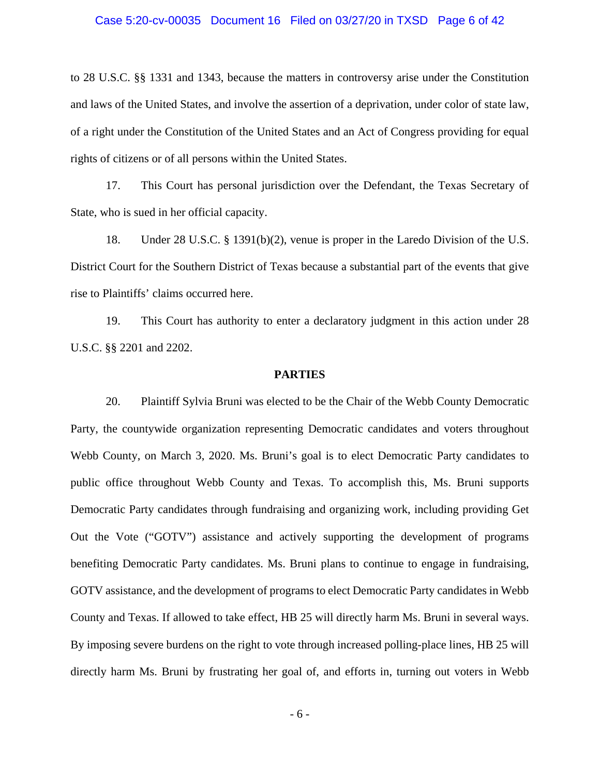### Case 5:20-cv-00035 Document 16 Filed on 03/27/20 in TXSD Page 6 of 42

to 28 U.S.C. §§ 1331 and 1343, because the matters in controversy arise under the Constitution and laws of the United States, and involve the assertion of a deprivation, under color of state law, of a right under the Constitution of the United States and an Act of Congress providing for equal rights of citizens or of all persons within the United States.

17. This Court has personal jurisdiction over the Defendant, the Texas Secretary of State, who is sued in her official capacity.

18. Under 28 U.S.C. § 1391(b)(2), venue is proper in the Laredo Division of the U.S. District Court for the Southern District of Texas because a substantial part of the events that give rise to Plaintiffs' claims occurred here.

19. This Court has authority to enter a declaratory judgment in this action under 28 U.S.C. §§ 2201 and 2202.

### **PARTIES**

20. Plaintiff Sylvia Bruni was elected to be the Chair of the Webb County Democratic Party, the countywide organization representing Democratic candidates and voters throughout Webb County, on March 3, 2020. Ms. Bruni's goal is to elect Democratic Party candidates to public office throughout Webb County and Texas. To accomplish this, Ms. Bruni supports Democratic Party candidates through fundraising and organizing work, including providing Get Out the Vote ("GOTV") assistance and actively supporting the development of programs benefiting Democratic Party candidates. Ms. Bruni plans to continue to engage in fundraising, GOTV assistance, and the development of programs to elect Democratic Party candidates in Webb County and Texas. If allowed to take effect, HB 25 will directly harm Ms. Bruni in several ways. By imposing severe burdens on the right to vote through increased polling-place lines, HB 25 will directly harm Ms. Bruni by frustrating her goal of, and efforts in, turning out voters in Webb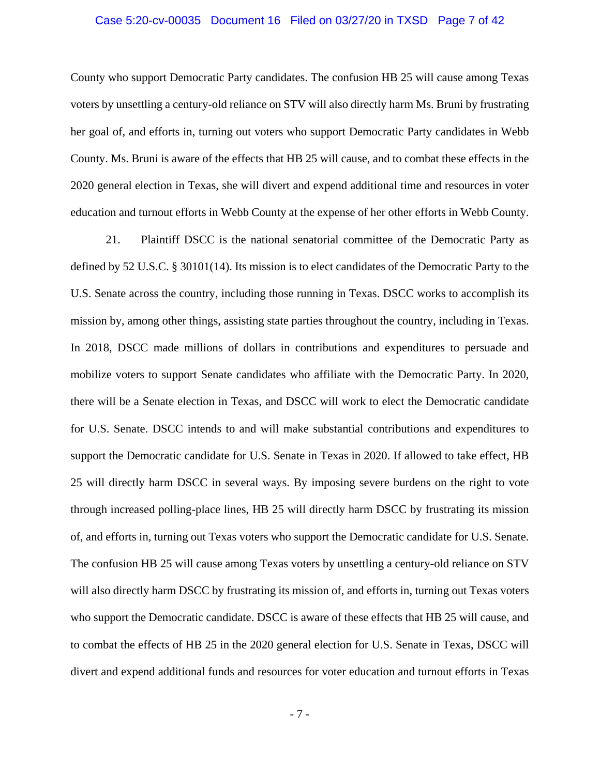### Case 5:20-cv-00035 Document 16 Filed on 03/27/20 in TXSD Page 7 of 42

County who support Democratic Party candidates. The confusion HB 25 will cause among Texas voters by unsettling a century-old reliance on STV will also directly harm Ms. Bruni by frustrating her goal of, and efforts in, turning out voters who support Democratic Party candidates in Webb County. Ms. Bruni is aware of the effects that HB 25 will cause, and to combat these effects in the 2020 general election in Texas, she will divert and expend additional time and resources in voter education and turnout efforts in Webb County at the expense of her other efforts in Webb County.

21. Plaintiff DSCC is the national senatorial committee of the Democratic Party as defined by 52 U.S.C. § 30101(14). Its mission is to elect candidates of the Democratic Party to the U.S. Senate across the country, including those running in Texas. DSCC works to accomplish its mission by, among other things, assisting state parties throughout the country, including in Texas. In 2018, DSCC made millions of dollars in contributions and expenditures to persuade and mobilize voters to support Senate candidates who affiliate with the Democratic Party. In 2020, there will be a Senate election in Texas, and DSCC will work to elect the Democratic candidate for U.S. Senate. DSCC intends to and will make substantial contributions and expenditures to support the Democratic candidate for U.S. Senate in Texas in 2020. If allowed to take effect, HB 25 will directly harm DSCC in several ways. By imposing severe burdens on the right to vote through increased polling-place lines, HB 25 will directly harm DSCC by frustrating its mission of, and efforts in, turning out Texas voters who support the Democratic candidate for U.S. Senate. The confusion HB 25 will cause among Texas voters by unsettling a century-old reliance on STV will also directly harm DSCC by frustrating its mission of, and efforts in, turning out Texas voters who support the Democratic candidate. DSCC is aware of these effects that HB 25 will cause, and to combat the effects of HB 25 in the 2020 general election for U.S. Senate in Texas, DSCC will divert and expend additional funds and resources for voter education and turnout efforts in Texas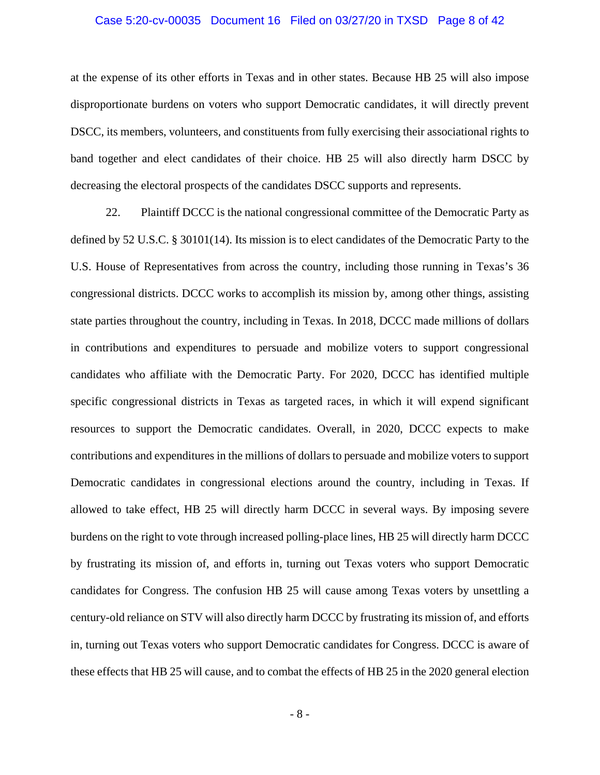### Case 5:20-cv-00035 Document 16 Filed on 03/27/20 in TXSD Page 8 of 42

at the expense of its other efforts in Texas and in other states. Because HB 25 will also impose disproportionate burdens on voters who support Democratic candidates, it will directly prevent DSCC, its members, volunteers, and constituents from fully exercising their associational rights to band together and elect candidates of their choice. HB 25 will also directly harm DSCC by decreasing the electoral prospects of the candidates DSCC supports and represents.

22. Plaintiff DCCC is the national congressional committee of the Democratic Party as defined by 52 U.S.C. § 30101(14). Its mission is to elect candidates of the Democratic Party to the U.S. House of Representatives from across the country, including those running in Texas's 36 congressional districts. DCCC works to accomplish its mission by, among other things, assisting state parties throughout the country, including in Texas. In 2018, DCCC made millions of dollars in contributions and expenditures to persuade and mobilize voters to support congressional candidates who affiliate with the Democratic Party. For 2020, DCCC has identified multiple specific congressional districts in Texas as targeted races, in which it will expend significant resources to support the Democratic candidates. Overall, in 2020, DCCC expects to make contributions and expenditures in the millions of dollars to persuade and mobilize voters to support Democratic candidates in congressional elections around the country, including in Texas. If allowed to take effect, HB 25 will directly harm DCCC in several ways. By imposing severe burdens on the right to vote through increased polling-place lines, HB 25 will directly harm DCCC by frustrating its mission of, and efforts in, turning out Texas voters who support Democratic candidates for Congress. The confusion HB 25 will cause among Texas voters by unsettling a century-old reliance on STV will also directly harm DCCC by frustrating its mission of, and efforts in, turning out Texas voters who support Democratic candidates for Congress. DCCC is aware of these effects that HB 25 will cause, and to combat the effects of HB 25 in the 2020 general election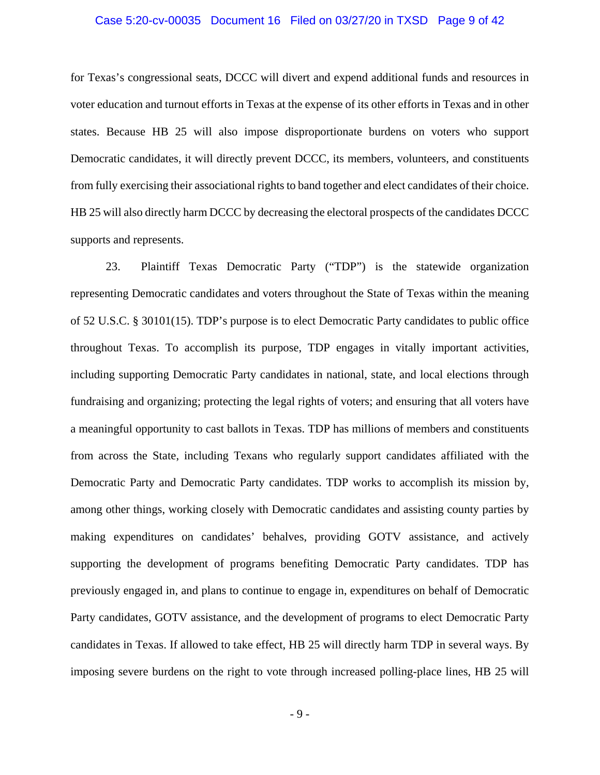### Case 5:20-cv-00035 Document 16 Filed on 03/27/20 in TXSD Page 9 of 42

for Texas's congressional seats, DCCC will divert and expend additional funds and resources in voter education and turnout efforts in Texas at the expense of its other efforts in Texas and in other states. Because HB 25 will also impose disproportionate burdens on voters who support Democratic candidates, it will directly prevent DCCC, its members, volunteers, and constituents from fully exercising their associational rights to band together and elect candidates of their choice. HB 25 will also directly harm DCCC by decreasing the electoral prospects of the candidates DCCC supports and represents.

23. Plaintiff Texas Democratic Party ("TDP") is the statewide organization representing Democratic candidates and voters throughout the State of Texas within the meaning of 52 U.S.C. § 30101(15). TDP's purpose is to elect Democratic Party candidates to public office throughout Texas. To accomplish its purpose, TDP engages in vitally important activities, including supporting Democratic Party candidates in national, state, and local elections through fundraising and organizing; protecting the legal rights of voters; and ensuring that all voters have a meaningful opportunity to cast ballots in Texas. TDP has millions of members and constituents from across the State, including Texans who regularly support candidates affiliated with the Democratic Party and Democratic Party candidates. TDP works to accomplish its mission by, among other things, working closely with Democratic candidates and assisting county parties by making expenditures on candidates' behalves, providing GOTV assistance, and actively supporting the development of programs benefiting Democratic Party candidates. TDP has previously engaged in, and plans to continue to engage in, expenditures on behalf of Democratic Party candidates, GOTV assistance, and the development of programs to elect Democratic Party candidates in Texas. If allowed to take effect, HB 25 will directly harm TDP in several ways. By imposing severe burdens on the right to vote through increased polling-place lines, HB 25 will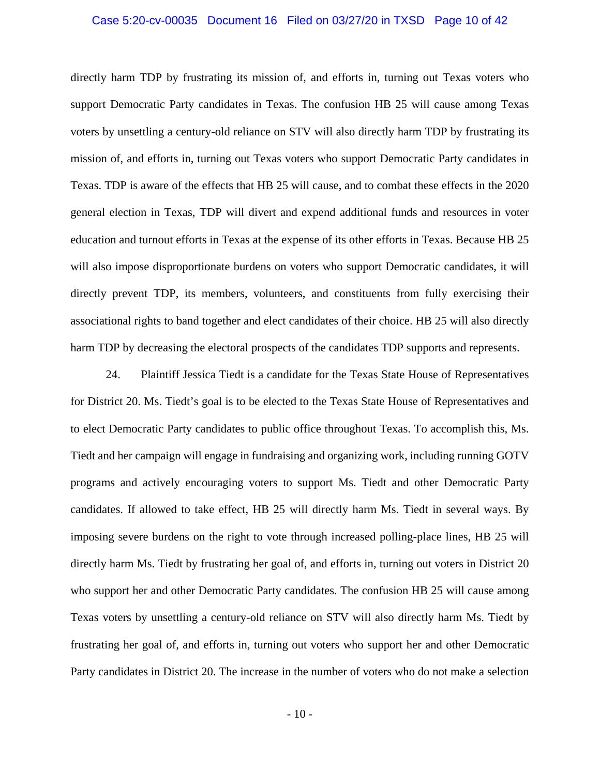### Case 5:20-cv-00035 Document 16 Filed on 03/27/20 in TXSD Page 10 of 42

directly harm TDP by frustrating its mission of, and efforts in, turning out Texas voters who support Democratic Party candidates in Texas. The confusion HB 25 will cause among Texas voters by unsettling a century-old reliance on STV will also directly harm TDP by frustrating its mission of, and efforts in, turning out Texas voters who support Democratic Party candidates in Texas. TDP is aware of the effects that HB 25 will cause, and to combat these effects in the 2020 general election in Texas, TDP will divert and expend additional funds and resources in voter education and turnout efforts in Texas at the expense of its other efforts in Texas. Because HB 25 will also impose disproportionate burdens on voters who support Democratic candidates, it will directly prevent TDP, its members, volunteers, and constituents from fully exercising their associational rights to band together and elect candidates of their choice. HB 25 will also directly harm TDP by decreasing the electoral prospects of the candidates TDP supports and represents.

24. Plaintiff Jessica Tiedt is a candidate for the Texas State House of Representatives for District 20. Ms. Tiedt's goal is to be elected to the Texas State House of Representatives and to elect Democratic Party candidates to public office throughout Texas. To accomplish this, Ms. Tiedt and her campaign will engage in fundraising and organizing work, including running GOTV programs and actively encouraging voters to support Ms. Tiedt and other Democratic Party candidates. If allowed to take effect, HB 25 will directly harm Ms. Tiedt in several ways. By imposing severe burdens on the right to vote through increased polling-place lines, HB 25 will directly harm Ms. Tiedt by frustrating her goal of, and efforts in, turning out voters in District 20 who support her and other Democratic Party candidates. The confusion HB 25 will cause among Texas voters by unsettling a century-old reliance on STV will also directly harm Ms. Tiedt by frustrating her goal of, and efforts in, turning out voters who support her and other Democratic Party candidates in District 20. The increase in the number of voters who do not make a selection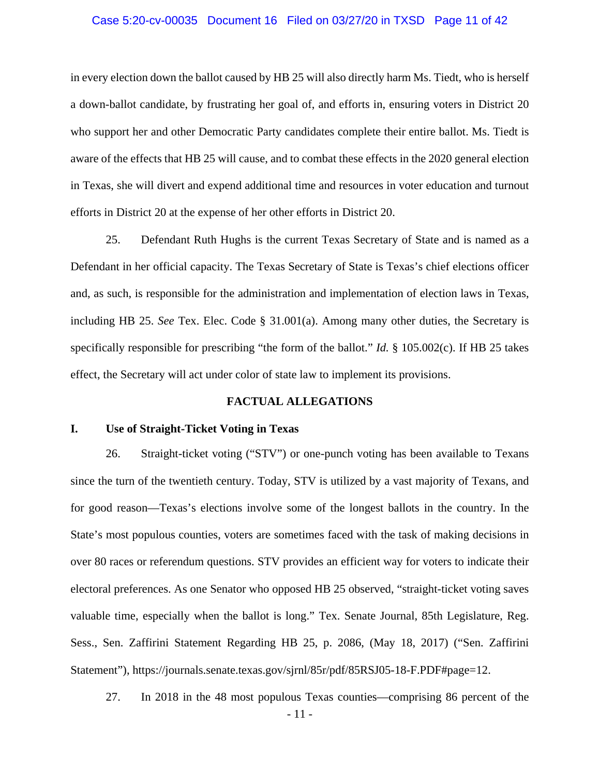### Case 5:20-cv-00035 Document 16 Filed on 03/27/20 in TXSD Page 11 of 42

in every election down the ballot caused by HB 25 will also directly harm Ms. Tiedt, who is herself a down-ballot candidate, by frustrating her goal of, and efforts in, ensuring voters in District 20 who support her and other Democratic Party candidates complete their entire ballot. Ms. Tiedt is aware of the effects that HB 25 will cause, and to combat these effects in the 2020 general election in Texas, she will divert and expend additional time and resources in voter education and turnout efforts in District 20 at the expense of her other efforts in District 20.

25. Defendant Ruth Hughs is the current Texas Secretary of State and is named as a Defendant in her official capacity. The Texas Secretary of State is Texas's chief elections officer and, as such, is responsible for the administration and implementation of election laws in Texas, including HB 25. *See* Tex. Elec. Code § 31.001(a). Among many other duties, the Secretary is specifically responsible for prescribing "the form of the ballot." *Id.* § 105.002(c). If HB 25 takes effect, the Secretary will act under color of state law to implement its provisions.

### **FACTUAL ALLEGATIONS**

### **I. Use of Straight-Ticket Voting in Texas**

26. Straight-ticket voting ("STV") or one-punch voting has been available to Texans since the turn of the twentieth century. Today, STV is utilized by a vast majority of Texans, and for good reason—Texas's elections involve some of the longest ballots in the country. In the State's most populous counties, voters are sometimes faced with the task of making decisions in over 80 races or referendum questions. STV provides an efficient way for voters to indicate their electoral preferences. As one Senator who opposed HB 25 observed, "straight-ticket voting saves valuable time, especially when the ballot is long." Tex. Senate Journal, 85th Legislature, Reg. Sess., Sen. Zaffirini Statement Regarding HB 25, p. 2086, (May 18, 2017) ("Sen. Zaffirini Statement"), https://journals.senate.texas.gov/sjrnl/85r/pdf/85RSJ05-18-F.PDF#page=12.

27. In 2018 in the 48 most populous Texas counties—comprising 86 percent of the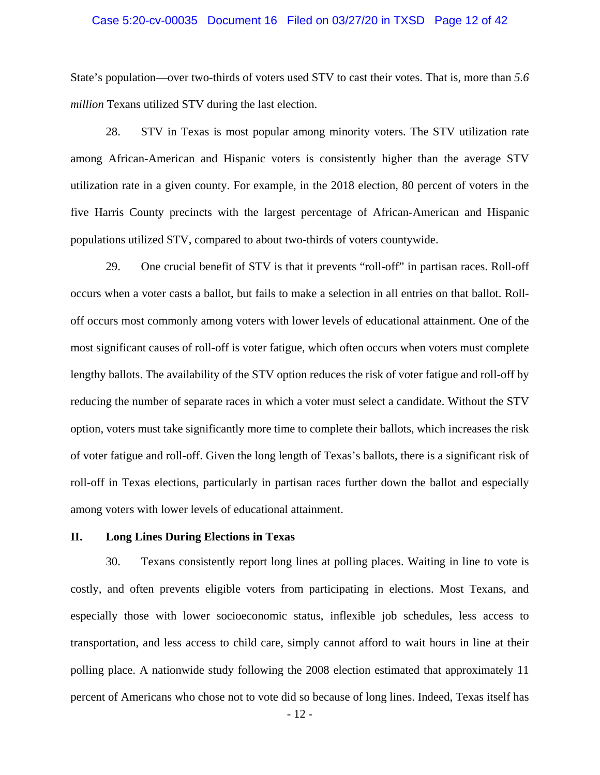### Case 5:20-cv-00035 Document 16 Filed on 03/27/20 in TXSD Page 12 of 42

State's population—over two-thirds of voters used STV to cast their votes. That is, more than *5.6 million* Texans utilized STV during the last election.

28. STV in Texas is most popular among minority voters. The STV utilization rate among African-American and Hispanic voters is consistently higher than the average STV utilization rate in a given county. For example, in the 2018 election, 80 percent of voters in the five Harris County precincts with the largest percentage of African-American and Hispanic populations utilized STV, compared to about two-thirds of voters countywide.

29. One crucial benefit of STV is that it prevents "roll-off" in partisan races. Roll-off occurs when a voter casts a ballot, but fails to make a selection in all entries on that ballot. Rolloff occurs most commonly among voters with lower levels of educational attainment. One of the most significant causes of roll-off is voter fatigue, which often occurs when voters must complete lengthy ballots. The availability of the STV option reduces the risk of voter fatigue and roll-off by reducing the number of separate races in which a voter must select a candidate. Without the STV option, voters must take significantly more time to complete their ballots, which increases the risk of voter fatigue and roll-off. Given the long length of Texas's ballots, there is a significant risk of roll-off in Texas elections, particularly in partisan races further down the ballot and especially among voters with lower levels of educational attainment.

### **II. Long Lines During Elections in Texas**

30. Texans consistently report long lines at polling places. Waiting in line to vote is costly, and often prevents eligible voters from participating in elections. Most Texans, and especially those with lower socioeconomic status, inflexible job schedules, less access to transportation, and less access to child care, simply cannot afford to wait hours in line at their polling place. A nationwide study following the 2008 election estimated that approximately 11 percent of Americans who chose not to vote did so because of long lines. Indeed, Texas itself has

- 12 -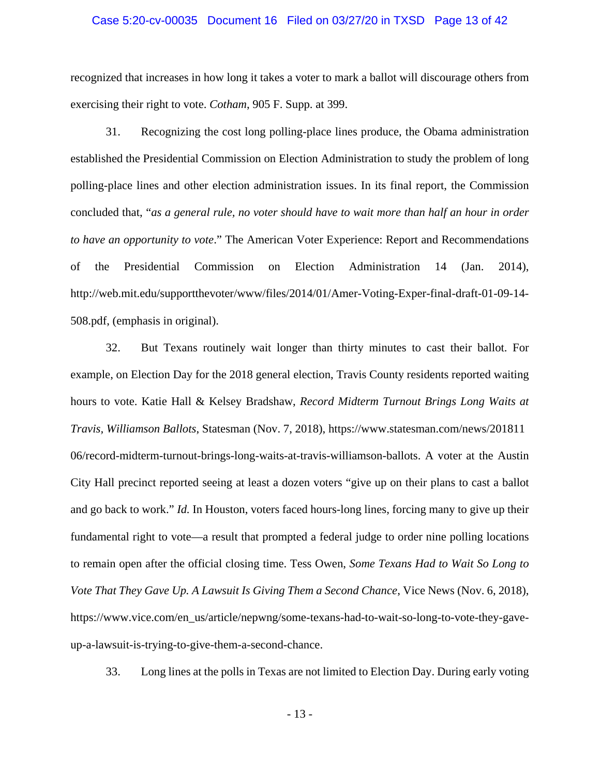#### Case 5:20-cv-00035 Document 16 Filed on 03/27/20 in TXSD Page 13 of 42

recognized that increases in how long it takes a voter to mark a ballot will discourage others from exercising their right to vote. *Cotham*, 905 F. Supp. at 399.

31. Recognizing the cost long polling-place lines produce, the Obama administration established the Presidential Commission on Election Administration to study the problem of long polling-place lines and other election administration issues. In its final report, the Commission concluded that, "*as a general rule, no voter should have to wait more than half an hour in order to have an opportunity to vote*." The American Voter Experience: Report and Recommendations of the Presidential Commission on Election Administration 14 (Jan. 2014), http://web.mit.edu/supportthevoter/www/files/2014/01/Amer-Voting-Exper-final-draft-01-09-14- 508.pdf, (emphasis in original).

32. But Texans routinely wait longer than thirty minutes to cast their ballot. For example, on Election Day for the 2018 general election, Travis County residents reported waiting hours to vote. Katie Hall & Kelsey Bradshaw, *Record Midterm Turnout Brings Long Waits at Travis, Williamson Ballots*, Statesman (Nov. 7, 2018), https://www.statesman.com/news/201811 06/record-midterm-turnout-brings-long-waits-at-travis-williamson-ballots. A voter at the Austin City Hall precinct reported seeing at least a dozen voters "give up on their plans to cast a ballot and go back to work." *Id.* In Houston, voters faced hours-long lines, forcing many to give up their fundamental right to vote—a result that prompted a federal judge to order nine polling locations to remain open after the official closing time. Tess Owen, *Some Texans Had to Wait So Long to Vote That They Gave Up. A Lawsuit Is Giving Them a Second Chance*, Vice News (Nov. 6, 2018), https://www.vice.com/en\_us/article/nepwng/some-texans-had-to-wait-so-long-to-vote-they-gaveup-a-lawsuit-is-trying-to-give-them-a-second-chance.

33. Long lines at the polls in Texas are not limited to Election Day. During early voting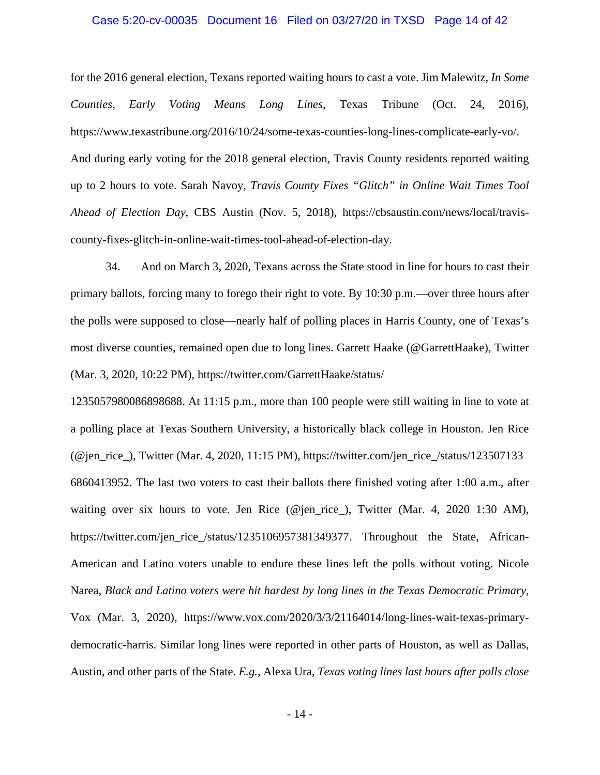#### Case 5:20-cv-00035 Document 16 Filed on 03/27/20 in TXSD Page 14 of 42

for the 2016 general election, Texans reported waiting hours to cast a vote. Jim Malewitz, *In Some Counties, Early Voting Means Long Lines*, Texas Tribune (Oct. 24, 2016), https://www.texastribune.org/2016/10/24/some-texas-counties-long-lines-complicate-early-vo/. And during early voting for the 2018 general election, Travis County residents reported waiting up to 2 hours to vote. Sarah Navoy, *Travis County Fixes "Glitch" in Online Wait Times Tool Ahead of Election Day*, CBS Austin (Nov. 5, 2018), https://cbsaustin.com/news/local/traviscounty-fixes-glitch-in-online-wait-times-tool-ahead-of-election-day.

34. And on March 3, 2020, Texans across the State stood in line for hours to cast their primary ballots, forcing many to forego their right to vote. By 10:30 p.m.—over three hours after the polls were supposed to close—nearly half of polling places in Harris County, one of Texas's most diverse counties, remained open due to long lines. Garrett Haake (@GarrettHaake), Twitter (Mar. 3, 2020, 10:22 PM), https://twitter.com/GarrettHaake/status/

1235057980086898688. At 11:15 p.m., more than 100 people were still waiting in line to vote at a polling place at Texas Southern University, a historically black college in Houston. Jen Rice (@jen\_rice\_), Twitter (Mar. 4, 2020, 11:15 PM), https://twitter.com/jen\_rice\_/status/123507133 6860413952. The last two voters to cast their ballots there finished voting after 1:00 a.m., after waiting over six hours to vote. Jen Rice (@jen\_rice\_), Twitter (Mar. 4, 2020 1:30 AM), https://twitter.com/jen\_rice\_/status/1235106957381349377. Throughout the State, African-American and Latino voters unable to endure these lines left the polls without voting. Nicole Narea, *Black and Latino voters were hit hardest by long lines in the Texas Democratic Primary*, Vox (Mar. 3, 2020), https://www.vox.com/2020/3/3/21164014/long-lines-wait-texas-primarydemocratic-harris. Similar long lines were reported in other parts of Houston, as well as Dallas, Austin, and other parts of the State. *E.g.,* Alexa Ura, *Texas voting lines last hours after polls close*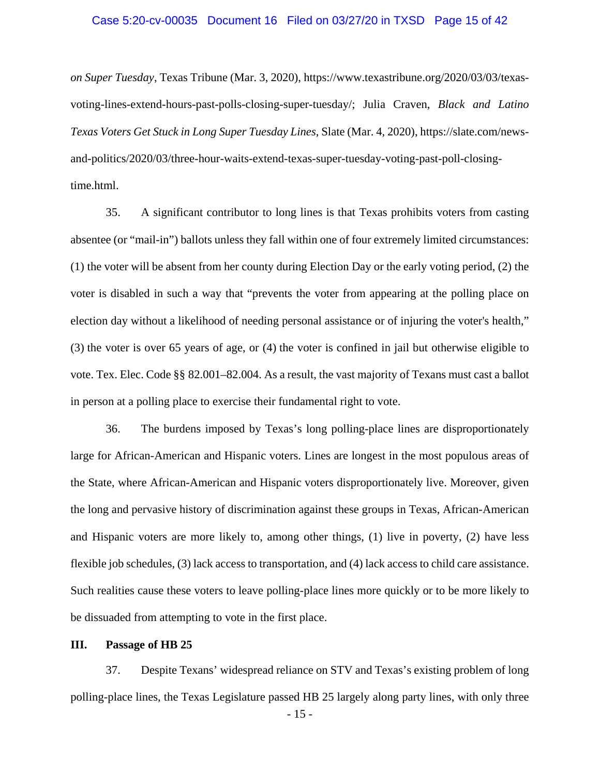### Case 5:20-cv-00035 Document 16 Filed on 03/27/20 in TXSD Page 15 of 42

*on Super Tuesday*, Texas Tribune (Mar. 3, 2020), https://www.texastribune.org/2020/03/03/texasvoting-lines-extend-hours-past-polls-closing-super-tuesday/; Julia Craven, *Black and Latino Texas Voters Get Stuck in Long Super Tuesday Lines*, Slate (Mar. 4, 2020), https://slate.com/newsand-politics/2020/03/three-hour-waits-extend-texas-super-tuesday-voting-past-poll-closingtime.html.

35. A significant contributor to long lines is that Texas prohibits voters from casting absentee (or "mail-in") ballots unless they fall within one of four extremely limited circumstances: (1) the voter will be absent from her county during Election Day or the early voting period, (2) the voter is disabled in such a way that "prevents the voter from appearing at the polling place on election day without a likelihood of needing personal assistance or of injuring the voter's health," (3) the voter is over 65 years of age, or (4) the voter is confined in jail but otherwise eligible to vote. Tex. Elec. Code §§ 82.001–82.004. As a result, the vast majority of Texans must cast a ballot in person at a polling place to exercise their fundamental right to vote.

36. The burdens imposed by Texas's long polling-place lines are disproportionately large for African-American and Hispanic voters. Lines are longest in the most populous areas of the State, where African-American and Hispanic voters disproportionately live. Moreover, given the long and pervasive history of discrimination against these groups in Texas, African-American and Hispanic voters are more likely to, among other things, (1) live in poverty, (2) have less flexible job schedules, (3) lack access to transportation, and (4) lack access to child care assistance. Such realities cause these voters to leave polling-place lines more quickly or to be more likely to be dissuaded from attempting to vote in the first place.

### **III. Passage of HB 25**

37. Despite Texans' widespread reliance on STV and Texas's existing problem of long polling-place lines, the Texas Legislature passed HB 25 largely along party lines, with only three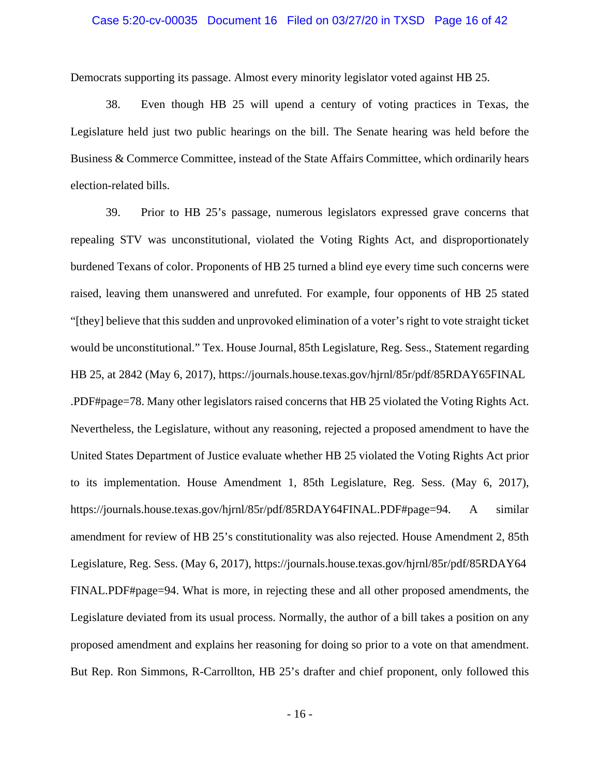### Case 5:20-cv-00035 Document 16 Filed on 03/27/20 in TXSD Page 16 of 42

Democrats supporting its passage. Almost every minority legislator voted against HB 25.

38. Even though HB 25 will upend a century of voting practices in Texas, the Legislature held just two public hearings on the bill. The Senate hearing was held before the Business & Commerce Committee, instead of the State Affairs Committee, which ordinarily hears election-related bills.

39. Prior to HB 25's passage, numerous legislators expressed grave concerns that repealing STV was unconstitutional, violated the Voting Rights Act, and disproportionately burdened Texans of color. Proponents of HB 25 turned a blind eye every time such concerns were raised, leaving them unanswered and unrefuted. For example, four opponents of HB 25 stated "[they] believe that this sudden and unprovoked elimination of a voter's right to vote straight ticket would be unconstitutional." Tex. House Journal, 85th Legislature, Reg. Sess., Statement regarding HB 25, at 2842 (May 6, 2017), https://journals.house.texas.gov/hjrnl/85r/pdf/85RDAY65FINAL .PDF#page=78. Many other legislators raised concerns that HB 25 violated the Voting Rights Act. Nevertheless, the Legislature, without any reasoning, rejected a proposed amendment to have the United States Department of Justice evaluate whether HB 25 violated the Voting Rights Act prior to its implementation. House Amendment 1, 85th Legislature, Reg. Sess. (May 6, 2017), https://journals.house.texas.gov/hjrnl/85r/pdf/85RDAY64FINAL.PDF#page=94. A similar amendment for review of HB 25's constitutionality was also rejected. House Amendment 2, 85th Legislature, Reg. Sess. (May 6, 2017), https://journals.house.texas.gov/hjrnl/85r/pdf/85RDAY64 FINAL.PDF#page=94. What is more, in rejecting these and all other proposed amendments, the Legislature deviated from its usual process. Normally, the author of a bill takes a position on any proposed amendment and explains her reasoning for doing so prior to a vote on that amendment. But Rep. Ron Simmons, R-Carrollton, HB 25's drafter and chief proponent, only followed this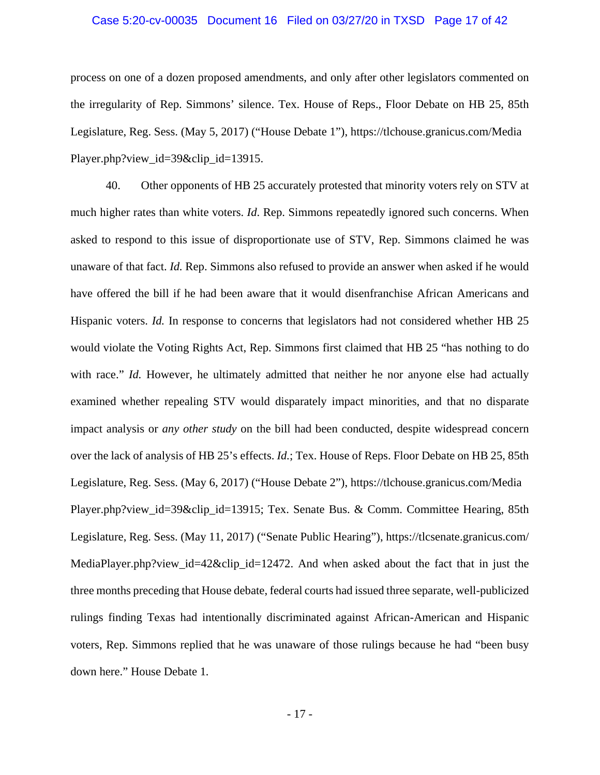### Case 5:20-cv-00035 Document 16 Filed on 03/27/20 in TXSD Page 17 of 42

process on one of a dozen proposed amendments, and only after other legislators commented on the irregularity of Rep. Simmons' silence. Tex. House of Reps., Floor Debate on HB 25, 85th Legislature, Reg. Sess. (May 5, 2017) ("House Debate 1"), https://tlchouse.granicus.com/Media Player.php?view\_id=39&clip\_id=13915.

40. Other opponents of HB 25 accurately protested that minority voters rely on STV at much higher rates than white voters. *Id*. Rep. Simmons repeatedly ignored such concerns. When asked to respond to this issue of disproportionate use of STV, Rep. Simmons claimed he was unaware of that fact. *Id.* Rep. Simmons also refused to provide an answer when asked if he would have offered the bill if he had been aware that it would disenfranchise African Americans and Hispanic voters. *Id.* In response to concerns that legislators had not considered whether HB 25 would violate the Voting Rights Act, Rep. Simmons first claimed that HB 25 "has nothing to do with race." *Id.* However, he ultimately admitted that neither he nor anyone else had actually examined whether repealing STV would disparately impact minorities, and that no disparate impact analysis or *any other study* on the bill had been conducted, despite widespread concern over the lack of analysis of HB 25's effects. *Id.*; Tex. House of Reps. Floor Debate on HB 25, 85th Legislature, Reg. Sess. (May 6, 2017) ("House Debate 2"), https://tlchouse.granicus.com/Media Player.php?view\_id=39&clip\_id=13915; Tex. Senate Bus. & Comm. Committee Hearing, 85th Legislature, Reg. Sess. (May 11, 2017) ("Senate Public Hearing"), https://tlcsenate.granicus.com/ MediaPlayer.php?view\_id=42&clip\_id=12472. And when asked about the fact that in just the three months preceding that House debate, federal courts had issued three separate, well-publicized rulings finding Texas had intentionally discriminated against African-American and Hispanic voters, Rep. Simmons replied that he was unaware of those rulings because he had "been busy down here." House Debate 1*.*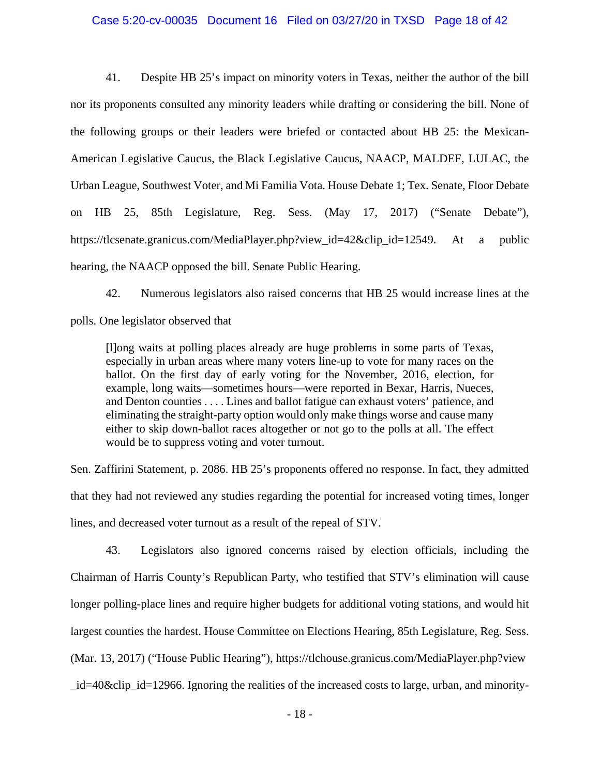#### Case 5:20-cv-00035 Document 16 Filed on 03/27/20 in TXSD Page 18 of 42

41. Despite HB 25's impact on minority voters in Texas, neither the author of the bill nor its proponents consulted any minority leaders while drafting or considering the bill. None of the following groups or their leaders were briefed or contacted about HB 25: the Mexican-American Legislative Caucus, the Black Legislative Caucus, NAACP, MALDEF, LULAC, the Urban League, Southwest Voter, and Mi Familia Vota. House Debate 1; Tex. Senate, Floor Debate on HB 25, 85th Legislature, Reg. Sess. (May 17, 2017) ("Senate Debate"), https://tlcsenate.granicus.com/MediaPlayer.php?view\_id=42&clip\_id=12549. At a public hearing, the NAACP opposed the bill. Senate Public Hearing.

42. Numerous legislators also raised concerns that HB 25 would increase lines at the polls. One legislator observed that

[l]ong waits at polling places already are huge problems in some parts of Texas, especially in urban areas where many voters line-up to vote for many races on the ballot. On the first day of early voting for the November, 2016, election, for example, long waits—sometimes hours—were reported in Bexar, Harris, Nueces, and Denton counties . . . . Lines and ballot fatigue can exhaust voters' patience, and eliminating the straight-party option would only make things worse and cause many either to skip down-ballot races altogether or not go to the polls at all. The effect would be to suppress voting and voter turnout.

Sen. Zaffirini Statement, p. 2086. HB 25's proponents offered no response. In fact, they admitted that they had not reviewed any studies regarding the potential for increased voting times, longer lines, and decreased voter turnout as a result of the repeal of STV.

43. Legislators also ignored concerns raised by election officials, including the Chairman of Harris County's Republican Party, who testified that STV's elimination will cause longer polling-place lines and require higher budgets for additional voting stations, and would hit largest counties the hardest. House Committee on Elections Hearing, 85th Legislature, Reg. Sess. (Mar. 13, 2017) ("House Public Hearing"), https://tlchouse.granicus.com/MediaPlayer.php?view  $id=40\&$ clip  $id=12966$ . Ignoring the realities of the increased costs to large, urban, and minority-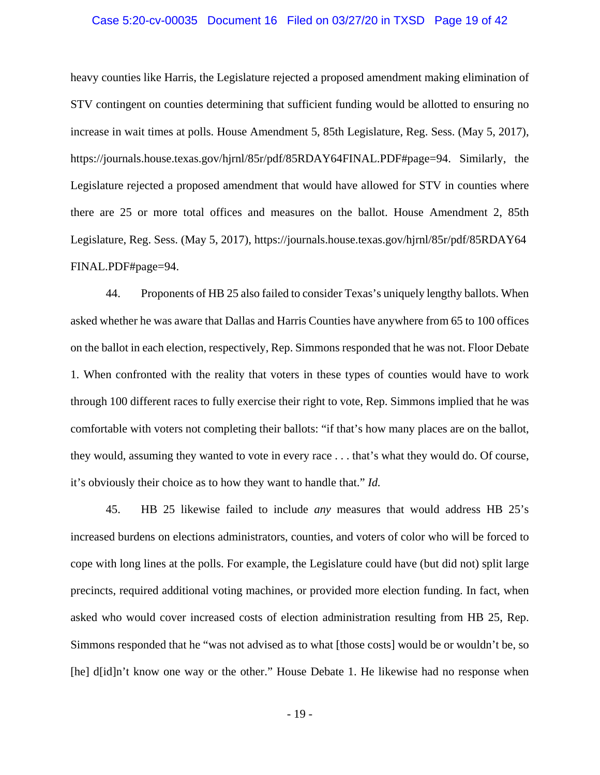### Case 5:20-cv-00035 Document 16 Filed on 03/27/20 in TXSD Page 19 of 42

heavy counties like Harris, the Legislature rejected a proposed amendment making elimination of STV contingent on counties determining that sufficient funding would be allotted to ensuring no increase in wait times at polls. House Amendment 5, 85th Legislature, Reg. Sess. (May 5, 2017), https://journals.house.texas.gov/hjrnl/85r/pdf/85RDAY64FINAL.PDF#page=94. Similarly, the Legislature rejected a proposed amendment that would have allowed for STV in counties where there are 25 or more total offices and measures on the ballot. House Amendment 2, 85th Legislature, Reg. Sess. (May 5, 2017), https://journals.house.texas.gov/hjrnl/85r/pdf/85RDAY64 FINAL.PDF#page=94.

44. Proponents of HB 25 also failed to consider Texas's uniquely lengthy ballots. When asked whether he was aware that Dallas and Harris Counties have anywhere from 65 to 100 offices on the ballot in each election, respectively, Rep. Simmons responded that he was not. Floor Debate 1. When confronted with the reality that voters in these types of counties would have to work through 100 different races to fully exercise their right to vote, Rep. Simmons implied that he was comfortable with voters not completing their ballots: "if that's how many places are on the ballot, they would, assuming they wanted to vote in every race . . . that's what they would do. Of course, it's obviously their choice as to how they want to handle that." *Id.*

45. HB 25 likewise failed to include *any* measures that would address HB 25's increased burdens on elections administrators, counties, and voters of color who will be forced to cope with long lines at the polls. For example, the Legislature could have (but did not) split large precincts, required additional voting machines, or provided more election funding. In fact, when asked who would cover increased costs of election administration resulting from HB 25, Rep. Simmons responded that he "was not advised as to what [those costs] would be or wouldn't be, so [he] d[id]n't know one way or the other." House Debate 1. He likewise had no response when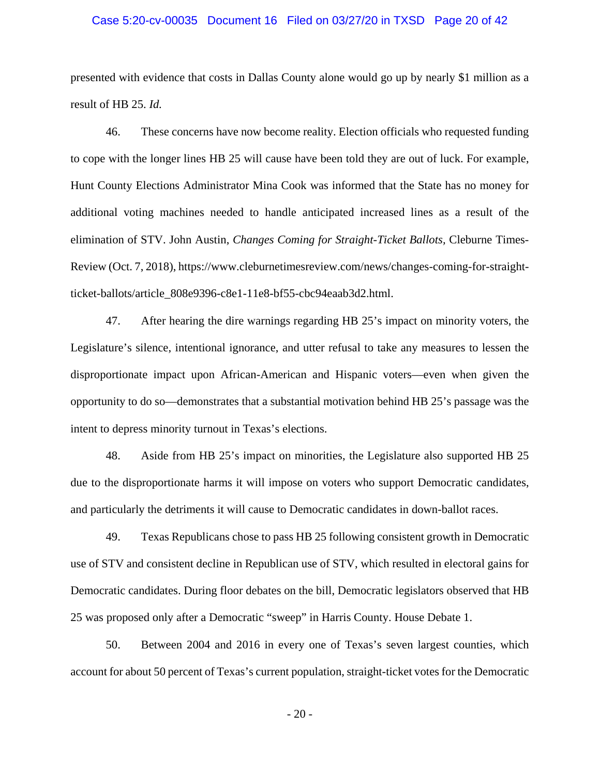### Case 5:20-cv-00035 Document 16 Filed on 03/27/20 in TXSD Page 20 of 42

presented with evidence that costs in Dallas County alone would go up by nearly \$1 million as a result of HB 25. *Id.*

46. These concerns have now become reality. Election officials who requested funding to cope with the longer lines HB 25 will cause have been told they are out of luck. For example, Hunt County Elections Administrator Mina Cook was informed that the State has no money for additional voting machines needed to handle anticipated increased lines as a result of the elimination of STV. John Austin, *Changes Coming for Straight-Ticket Ballots,* Cleburne Times-Review (Oct. 7, 2018), https://www.cleburnetimesreview.com/news/changes-coming-for-straightticket-ballots/article\_808e9396-c8e1-11e8-bf55-cbc94eaab3d2.html.

47. After hearing the dire warnings regarding HB 25's impact on minority voters, the Legislature's silence, intentional ignorance, and utter refusal to take any measures to lessen the disproportionate impact upon African-American and Hispanic voters—even when given the opportunity to do so—demonstrates that a substantial motivation behind HB 25's passage was the intent to depress minority turnout in Texas's elections.

48. Aside from HB 25's impact on minorities, the Legislature also supported HB 25 due to the disproportionate harms it will impose on voters who support Democratic candidates, and particularly the detriments it will cause to Democratic candidates in down-ballot races.

49. Texas Republicans chose to pass HB 25 following consistent growth in Democratic use of STV and consistent decline in Republican use of STV, which resulted in electoral gains for Democratic candidates. During floor debates on the bill, Democratic legislators observed that HB 25 was proposed only after a Democratic "sweep" in Harris County. House Debate 1.

50. Between 2004 and 2016 in every one of Texas's seven largest counties, which account for about 50 percent of Texas's current population, straight-ticket votes for the Democratic

- 20 -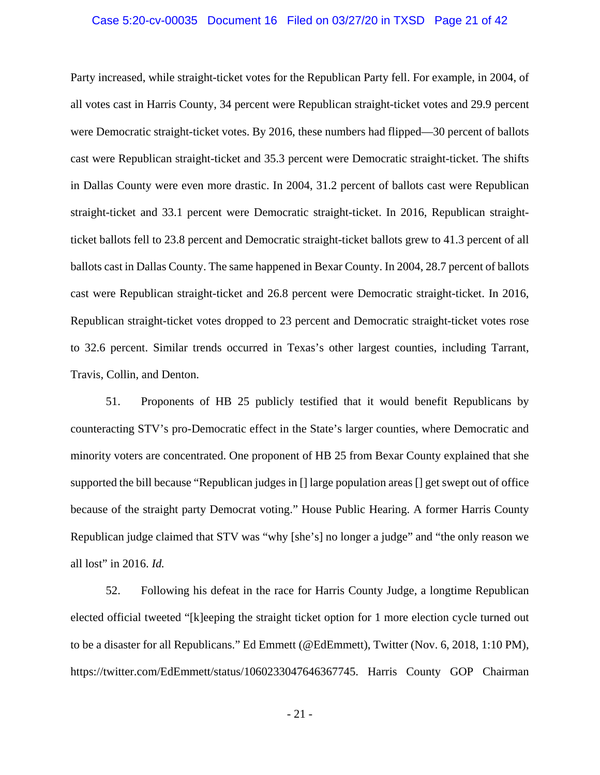### Case 5:20-cv-00035 Document 16 Filed on 03/27/20 in TXSD Page 21 of 42

Party increased, while straight-ticket votes for the Republican Party fell. For example, in 2004, of all votes cast in Harris County, 34 percent were Republican straight-ticket votes and 29.9 percent were Democratic straight-ticket votes. By 2016, these numbers had flipped—30 percent of ballots cast were Republican straight-ticket and 35.3 percent were Democratic straight-ticket. The shifts in Dallas County were even more drastic. In 2004, 31.2 percent of ballots cast were Republican straight-ticket and 33.1 percent were Democratic straight-ticket. In 2016, Republican straightticket ballots fell to 23.8 percent and Democratic straight-ticket ballots grew to 41.3 percent of all ballots cast in Dallas County. The same happened in Bexar County. In 2004, 28.7 percent of ballots cast were Republican straight-ticket and 26.8 percent were Democratic straight-ticket. In 2016, Republican straight-ticket votes dropped to 23 percent and Democratic straight-ticket votes rose to 32.6 percent. Similar trends occurred in Texas's other largest counties, including Tarrant, Travis, Collin, and Denton.

51. Proponents of HB 25 publicly testified that it would benefit Republicans by counteracting STV's pro-Democratic effect in the State's larger counties, where Democratic and minority voters are concentrated. One proponent of HB 25 from Bexar County explained that she supported the bill because "Republican judges in [] large population areas [] get swept out of office because of the straight party Democrat voting." House Public Hearing. A former Harris County Republican judge claimed that STV was "why [she's] no longer a judge" and "the only reason we all lost" in 2016. *Id.*

52. Following his defeat in the race for Harris County Judge, a longtime Republican elected official tweeted "[k]eeping the straight ticket option for 1 more election cycle turned out to be a disaster for all Republicans." Ed Emmett (@EdEmmett), Twitter (Nov. 6, 2018, 1:10 PM), https://twitter.com/EdEmmett/status/1060233047646367745. Harris County GOP Chairman

- 21 -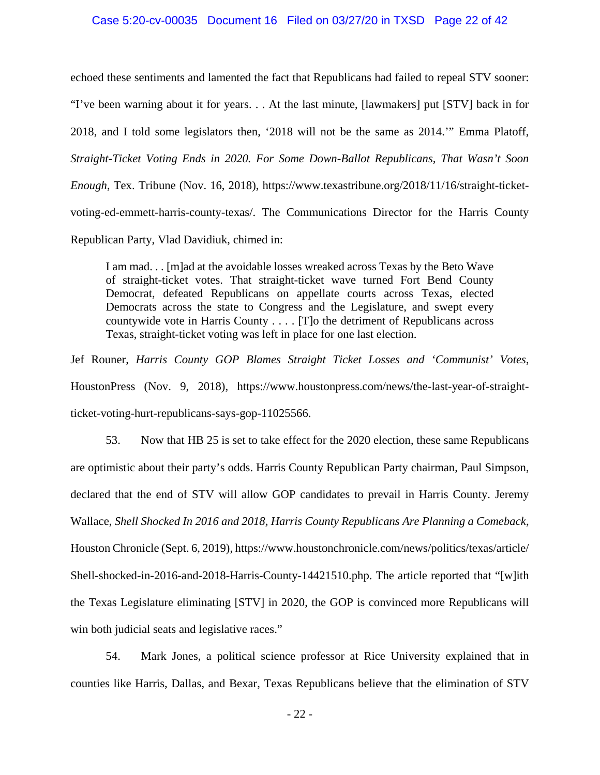### Case 5:20-cv-00035 Document 16 Filed on 03/27/20 in TXSD Page 22 of 42

echoed these sentiments and lamented the fact that Republicans had failed to repeal STV sooner: "I've been warning about it for years. . . At the last minute, [lawmakers] put [STV] back in for 2018, and I told some legislators then, '2018 will not be the same as 2014.'" Emma Platoff, *Straight-Ticket Voting Ends in 2020. For Some Down-Ballot Republicans, That Wasn't Soon Enough*, Tex. Tribune (Nov. 16, 2018), https://www.texastribune.org/2018/11/16/straight-ticketvoting-ed-emmett-harris-county-texas/. The Communications Director for the Harris County Republican Party, Vlad Davidiuk, chimed in:

I am mad. . . [m]ad at the avoidable losses wreaked across Texas by the Beto Wave of straight-ticket votes. That straight-ticket wave turned Fort Bend County Democrat, defeated Republicans on appellate courts across Texas, elected Democrats across the state to Congress and the Legislature, and swept every countywide vote in Harris County . . . . [T]o the detriment of Republicans across Texas, straight-ticket voting was left in place for one last election.

Jef Rouner, *Harris County GOP Blames Straight Ticket Losses and 'Communist' Votes*, HoustonPress (Nov. 9, 2018), https://www.houstonpress.com/news/the-last-year-of-straightticket-voting-hurt-republicans-says-gop-11025566.

53. Now that HB 25 is set to take effect for the 2020 election, these same Republicans are optimistic about their party's odds. Harris County Republican Party chairman, Paul Simpson, declared that the end of STV will allow GOP candidates to prevail in Harris County. Jeremy Wallace, *Shell Shocked In 2016 and 2018, Harris County Republicans Are Planning a Comeback*, Houston Chronicle (Sept. 6, 2019), https://www.houstonchronicle.com/news/politics/texas/article/ Shell-shocked-in-2016-and-2018-Harris-County-14421510.php. The article reported that "[w]ith the Texas Legislature eliminating [STV] in 2020, the GOP is convinced more Republicans will win both judicial seats and legislative races."

54. Mark Jones, a political science professor at Rice University explained that in counties like Harris, Dallas, and Bexar, Texas Republicans believe that the elimination of STV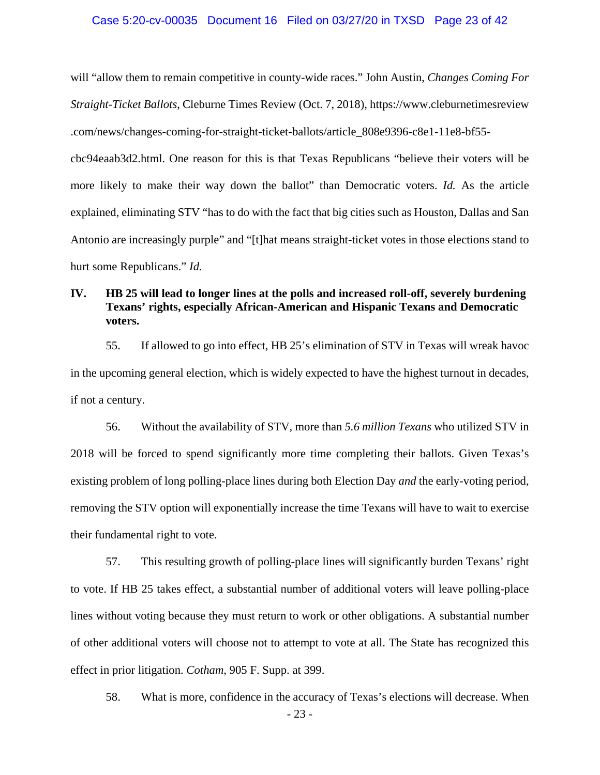### Case 5:20-cv-00035 Document 16 Filed on 03/27/20 in TXSD Page 23 of 42

will "allow them to remain competitive in county-wide races." John Austin, *Changes Coming For Straight-Ticket Ballots*, Cleburne Times Review (Oct. 7, 2018), https://www.cleburnetimesreview .com/news/changes-coming-for-straight-ticket-ballots/article\_808e9396-c8e1-11e8-bf55-

cbc94eaab3d2.html. One reason for this is that Texas Republicans "believe their voters will be more likely to make their way down the ballot" than Democratic voters. *Id.* As the article explained, eliminating STV "has to do with the fact that big cities such as Houston, Dallas and San Antonio are increasingly purple" and "[t]hat means straight-ticket votes in those elections stand to hurt some Republicans." *Id.*

# **IV. HB 25 will lead to longer lines at the polls and increased roll-off, severely burdening Texans' rights, especially African-American and Hispanic Texans and Democratic voters.**

55. If allowed to go into effect, HB 25's elimination of STV in Texas will wreak havoc in the upcoming general election, which is widely expected to have the highest turnout in decades, if not a century.

56. Without the availability of STV, more than *5.6 million Texans* who utilized STV in 2018 will be forced to spend significantly more time completing their ballots. Given Texas's existing problem of long polling-place lines during both Election Day *and* the early-voting period, removing the STV option will exponentially increase the time Texans will have to wait to exercise their fundamental right to vote.

57. This resulting growth of polling-place lines will significantly burden Texans' right to vote. If HB 25 takes effect, a substantial number of additional voters will leave polling-place lines without voting because they must return to work or other obligations. A substantial number of other additional voters will choose not to attempt to vote at all. The State has recognized this effect in prior litigation. *Cotham*, 905 F. Supp. at 399.

- 23 - 58. What is more, confidence in the accuracy of Texas's elections will decrease. When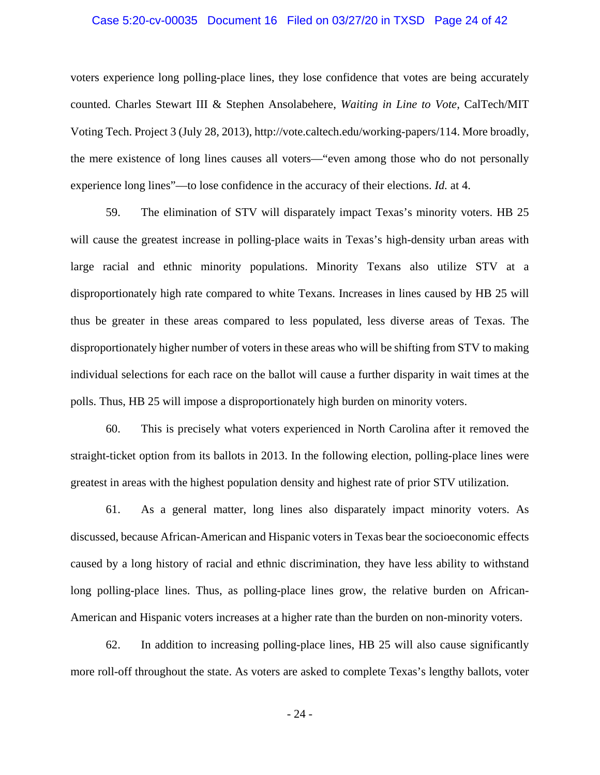### Case 5:20-cv-00035 Document 16 Filed on 03/27/20 in TXSD Page 24 of 42

voters experience long polling-place lines, they lose confidence that votes are being accurately counted. Charles Stewart III & Stephen Ansolabehere, *Waiting in Line to Vote*, CalTech/MIT Voting Tech. Project 3 (July 28, 2013), http://vote.caltech.edu/working-papers/114. More broadly, the mere existence of long lines causes all voters—"even among those who do not personally experience long lines"—to lose confidence in the accuracy of their elections. *Id.* at 4.

59. The elimination of STV will disparately impact Texas's minority voters. HB 25 will cause the greatest increase in polling-place waits in Texas's high-density urban areas with large racial and ethnic minority populations. Minority Texans also utilize STV at a disproportionately high rate compared to white Texans. Increases in lines caused by HB 25 will thus be greater in these areas compared to less populated, less diverse areas of Texas. The disproportionately higher number of voters in these areas who will be shifting from STV to making individual selections for each race on the ballot will cause a further disparity in wait times at the polls. Thus, HB 25 will impose a disproportionately high burden on minority voters.

60. This is precisely what voters experienced in North Carolina after it removed the straight-ticket option from its ballots in 2013. In the following election, polling-place lines were greatest in areas with the highest population density and highest rate of prior STV utilization.

61. As a general matter, long lines also disparately impact minority voters. As discussed, because African-American and Hispanic voters in Texas bear the socioeconomic effects caused by a long history of racial and ethnic discrimination, they have less ability to withstand long polling-place lines. Thus, as polling-place lines grow, the relative burden on African-American and Hispanic voters increases at a higher rate than the burden on non-minority voters.

62. In addition to increasing polling-place lines, HB 25 will also cause significantly more roll-off throughout the state. As voters are asked to complete Texas's lengthy ballots, voter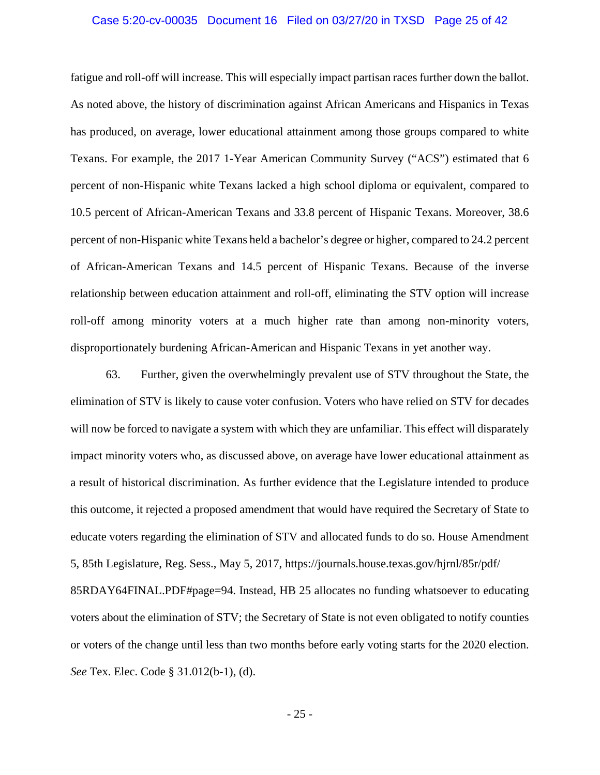### Case 5:20-cv-00035 Document 16 Filed on 03/27/20 in TXSD Page 25 of 42

fatigue and roll-off will increase. This will especially impact partisan races further down the ballot. As noted above, the history of discrimination against African Americans and Hispanics in Texas has produced, on average, lower educational attainment among those groups compared to white Texans. For example, the 2017 1-Year American Community Survey ("ACS") estimated that 6 percent of non-Hispanic white Texans lacked a high school diploma or equivalent, compared to 10.5 percent of African-American Texans and 33.8 percent of Hispanic Texans. Moreover, 38.6 percent of non-Hispanic white Texans held a bachelor's degree or higher, compared to 24.2 percent of African-American Texans and 14.5 percent of Hispanic Texans. Because of the inverse relationship between education attainment and roll-off, eliminating the STV option will increase roll-off among minority voters at a much higher rate than among non-minority voters, disproportionately burdening African-American and Hispanic Texans in yet another way.

63. Further, given the overwhelmingly prevalent use of STV throughout the State, the elimination of STV is likely to cause voter confusion. Voters who have relied on STV for decades will now be forced to navigate a system with which they are unfamiliar. This effect will disparately impact minority voters who, as discussed above, on average have lower educational attainment as a result of historical discrimination. As further evidence that the Legislature intended to produce this outcome, it rejected a proposed amendment that would have required the Secretary of State to educate voters regarding the elimination of STV and allocated funds to do so. House Amendment 5, 85th Legislature, Reg. Sess., May 5, 2017, https://journals.house.texas.gov/hjrnl/85r/pdf/ 85RDAY64FINAL.PDF#page=94. Instead, HB 25 allocates no funding whatsoever to educating voters about the elimination of STV; the Secretary of State is not even obligated to notify counties or voters of the change until less than two months before early voting starts for the 2020 election. *See* Tex. Elec. Code § 31.012(b-1), (d).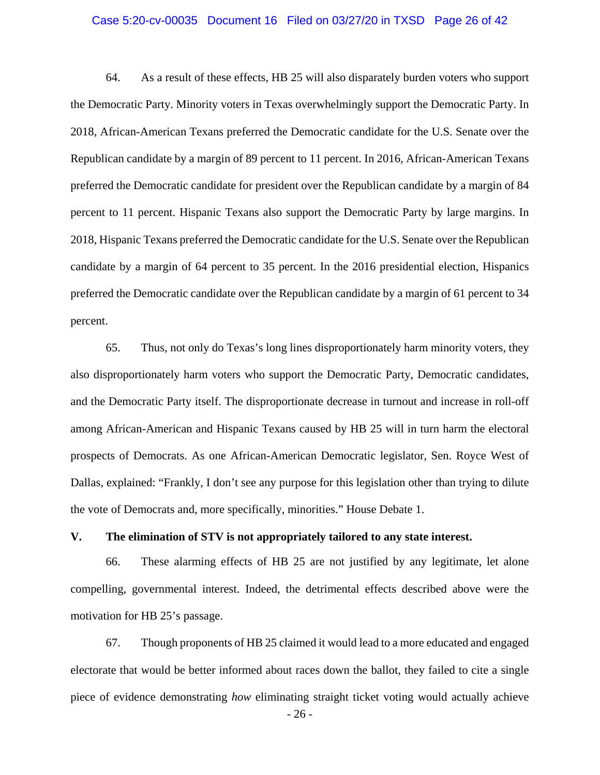### Case 5:20-cv-00035 Document 16 Filed on 03/27/20 in TXSD Page 26 of 42

64. As a result of these effects, HB 25 will also disparately burden voters who support the Democratic Party. Minority voters in Texas overwhelmingly support the Democratic Party. In 2018, African-American Texans preferred the Democratic candidate for the U.S. Senate over the Republican candidate by a margin of 89 percent to 11 percent. In 2016, African-American Texans preferred the Democratic candidate for president over the Republican candidate by a margin of 84 percent to 11 percent. Hispanic Texans also support the Democratic Party by large margins. In 2018, Hispanic Texans preferred the Democratic candidate for the U.S. Senate over the Republican candidate by a margin of 64 percent to 35 percent. In the 2016 presidential election, Hispanics preferred the Democratic candidate over the Republican candidate by a margin of 61 percent to 34 percent.

65. Thus, not only do Texas's long lines disproportionately harm minority voters, they also disproportionately harm voters who support the Democratic Party, Democratic candidates, and the Democratic Party itself. The disproportionate decrease in turnout and increase in roll-off among African-American and Hispanic Texans caused by HB 25 will in turn harm the electoral prospects of Democrats. As one African-American Democratic legislator, Sen. Royce West of Dallas, explained: "Frankly, I don't see any purpose for this legislation other than trying to dilute the vote of Democrats and, more specifically, minorities." House Debate 1.

### **V. The elimination of STV is not appropriately tailored to any state interest.**

66. These alarming effects of HB 25 are not justified by any legitimate, let alone compelling, governmental interest. Indeed, the detrimental effects described above were the motivation for HB 25's passage.

67. Though proponents of HB 25 claimed it would lead to a more educated and engaged electorate that would be better informed about races down the ballot, they failed to cite a single piece of evidence demonstrating *how* eliminating straight ticket voting would actually achieve

- 26 -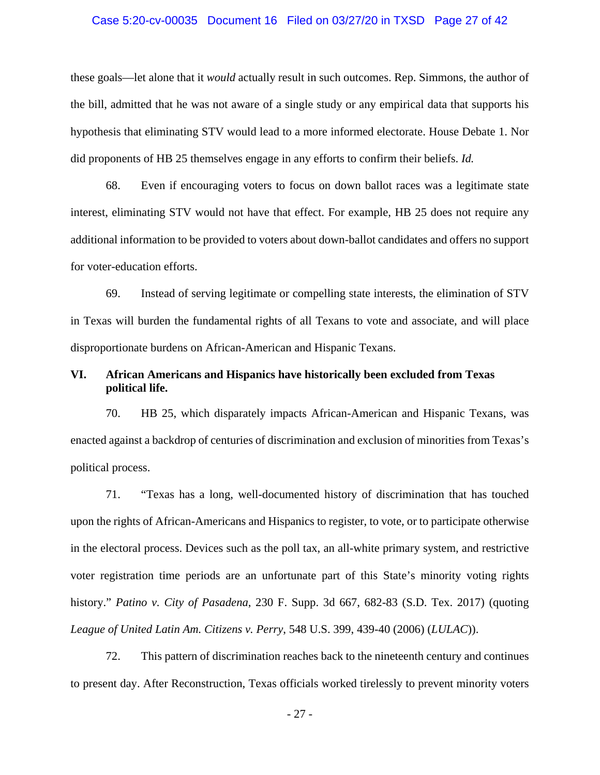### Case 5:20-cv-00035 Document 16 Filed on 03/27/20 in TXSD Page 27 of 42

these goals—let alone that it *would* actually result in such outcomes. Rep. Simmons, the author of the bill, admitted that he was not aware of a single study or any empirical data that supports his hypothesis that eliminating STV would lead to a more informed electorate. House Debate 1. Nor did proponents of HB 25 themselves engage in any efforts to confirm their beliefs. *Id.*

68. Even if encouraging voters to focus on down ballot races was a legitimate state interest, eliminating STV would not have that effect. For example, HB 25 does not require any additional information to be provided to voters about down-ballot candidates and offers no support for voter-education efforts.

69. Instead of serving legitimate or compelling state interests, the elimination of STV in Texas will burden the fundamental rights of all Texans to vote and associate, and will place disproportionate burdens on African-American and Hispanic Texans.

# **VI. African Americans and Hispanics have historically been excluded from Texas political life.**

70. HB 25, which disparately impacts African-American and Hispanic Texans, was enacted against a backdrop of centuries of discrimination and exclusion of minorities from Texas's political process.

71. "Texas has a long, well-documented history of discrimination that has touched upon the rights of African-Americans and Hispanics to register, to vote, or to participate otherwise in the electoral process. Devices such as the poll tax, an all-white primary system, and restrictive voter registration time periods are an unfortunate part of this State's minority voting rights history." *Patino v. City of Pasadena*, 230 F. Supp. 3d 667, 682-83 (S.D. Tex. 2017) (quoting *League of United Latin Am. Citizens v. Perry*, 548 U.S. 399, 439-40 (2006) (*LULAC*)).

72. This pattern of discrimination reaches back to the nineteenth century and continues to present day. After Reconstruction, Texas officials worked tirelessly to prevent minority voters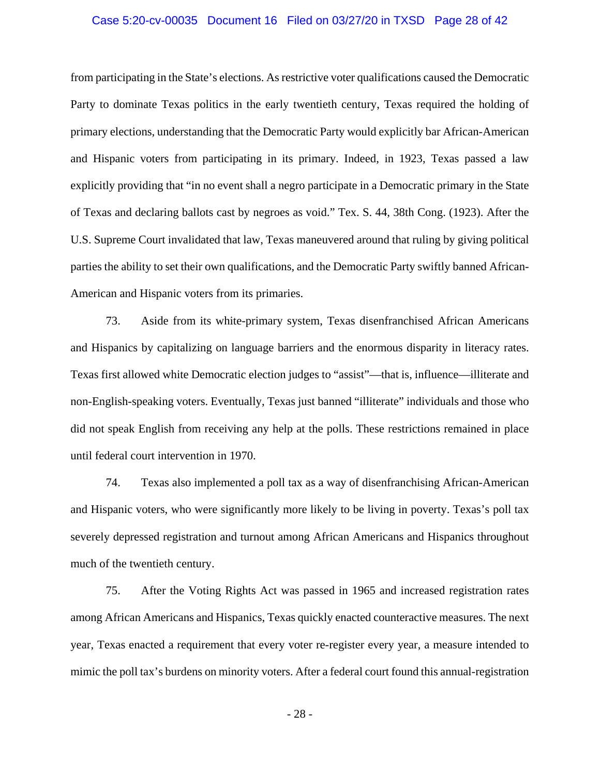### Case 5:20-cv-00035 Document 16 Filed on 03/27/20 in TXSD Page 28 of 42

from participating in the State's elections. As restrictive voter qualifications caused the Democratic Party to dominate Texas politics in the early twentieth century, Texas required the holding of primary elections, understanding that the Democratic Party would explicitly bar African-American and Hispanic voters from participating in its primary. Indeed, in 1923, Texas passed a law explicitly providing that "in no event shall a negro participate in a Democratic primary in the State of Texas and declaring ballots cast by negroes as void." Tex. S. 44, 38th Cong. (1923). After the U.S. Supreme Court invalidated that law, Texas maneuvered around that ruling by giving political parties the ability to set their own qualifications, and the Democratic Party swiftly banned African-American and Hispanic voters from its primaries.

73. Aside from its white-primary system, Texas disenfranchised African Americans and Hispanics by capitalizing on language barriers and the enormous disparity in literacy rates. Texas first allowed white Democratic election judges to "assist"—that is, influence—illiterate and non-English-speaking voters. Eventually, Texas just banned "illiterate" individuals and those who did not speak English from receiving any help at the polls. These restrictions remained in place until federal court intervention in 1970.

74. Texas also implemented a poll tax as a way of disenfranchising African-American and Hispanic voters, who were significantly more likely to be living in poverty. Texas's poll tax severely depressed registration and turnout among African Americans and Hispanics throughout much of the twentieth century.

75. After the Voting Rights Act was passed in 1965 and increased registration rates among African Americans and Hispanics, Texas quickly enacted counteractive measures. The next year, Texas enacted a requirement that every voter re-register every year, a measure intended to mimic the poll tax's burdens on minority voters. After a federal court found this annual-registration

- 28 -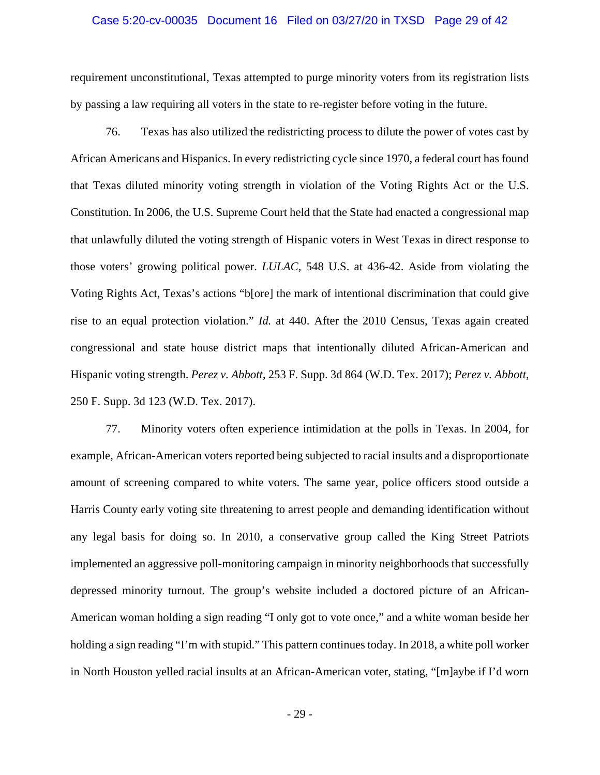### Case 5:20-cv-00035 Document 16 Filed on 03/27/20 in TXSD Page 29 of 42

requirement unconstitutional, Texas attempted to purge minority voters from its registration lists by passing a law requiring all voters in the state to re-register before voting in the future.

76. Texas has also utilized the redistricting process to dilute the power of votes cast by African Americans and Hispanics. In every redistricting cycle since 1970, a federal court has found that Texas diluted minority voting strength in violation of the Voting Rights Act or the U.S. Constitution. In 2006, the U.S. Supreme Court held that the State had enacted a congressional map that unlawfully diluted the voting strength of Hispanic voters in West Texas in direct response to those voters' growing political power. *LULAC*, 548 U.S. at 436-42. Aside from violating the Voting Rights Act, Texas's actions "b[ore] the mark of intentional discrimination that could give rise to an equal protection violation." *Id.* at 440. After the 2010 Census, Texas again created congressional and state house district maps that intentionally diluted African-American and Hispanic voting strength. *Perez v. Abbott*, 253 F. Supp. 3d 864 (W.D. Tex. 2017); *Perez v. Abbott*, 250 F. Supp. 3d 123 (W.D. Tex. 2017).

77. Minority voters often experience intimidation at the polls in Texas. In 2004, for example, African-American voters reported being subjected to racial insults and a disproportionate amount of screening compared to white voters. The same year, police officers stood outside a Harris County early voting site threatening to arrest people and demanding identification without any legal basis for doing so. In 2010, a conservative group called the King Street Patriots implemented an aggressive poll-monitoring campaign in minority neighborhoods that successfully depressed minority turnout. The group's website included a doctored picture of an African-American woman holding a sign reading "I only got to vote once," and a white woman beside her holding a sign reading "I'm with stupid." This pattern continues today. In 2018, a white poll worker in North Houston yelled racial insults at an African-American voter, stating, "[m]aybe if I'd worn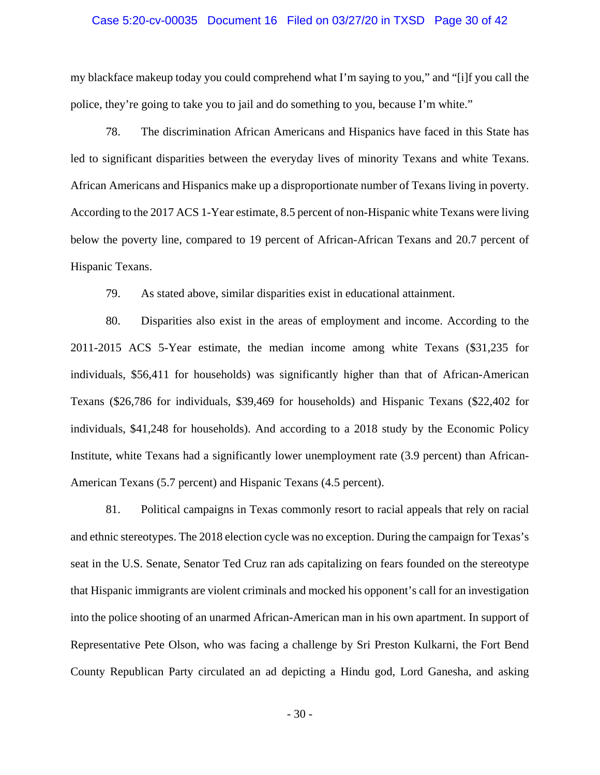### Case 5:20-cv-00035 Document 16 Filed on 03/27/20 in TXSD Page 30 of 42

my blackface makeup today you could comprehend what I'm saying to you," and "[i]f you call the police, they're going to take you to jail and do something to you, because I'm white."

78. The discrimination African Americans and Hispanics have faced in this State has led to significant disparities between the everyday lives of minority Texans and white Texans. African Americans and Hispanics make up a disproportionate number of Texans living in poverty. According to the 2017 ACS 1-Year estimate, 8.5 percent of non-Hispanic white Texans were living below the poverty line, compared to 19 percent of African-African Texans and 20.7 percent of Hispanic Texans.

79. As stated above, similar disparities exist in educational attainment.

80. Disparities also exist in the areas of employment and income. According to the 2011-2015 ACS 5-Year estimate, the median income among white Texans (\$31,235 for individuals, \$56,411 for households) was significantly higher than that of African-American Texans (\$26,786 for individuals, \$39,469 for households) and Hispanic Texans (\$22,402 for individuals, \$41,248 for households). And according to a 2018 study by the Economic Policy Institute, white Texans had a significantly lower unemployment rate (3.9 percent) than African-American Texans (5.7 percent) and Hispanic Texans (4.5 percent).

81. Political campaigns in Texas commonly resort to racial appeals that rely on racial and ethnic stereotypes. The 2018 election cycle was no exception. During the campaign for Texas's seat in the U.S. Senate, Senator Ted Cruz ran ads capitalizing on fears founded on the stereotype that Hispanic immigrants are violent criminals and mocked his opponent's call for an investigation into the police shooting of an unarmed African-American man in his own apartment. In support of Representative Pete Olson, who was facing a challenge by Sri Preston Kulkarni, the Fort Bend County Republican Party circulated an ad depicting a Hindu god, Lord Ganesha, and asking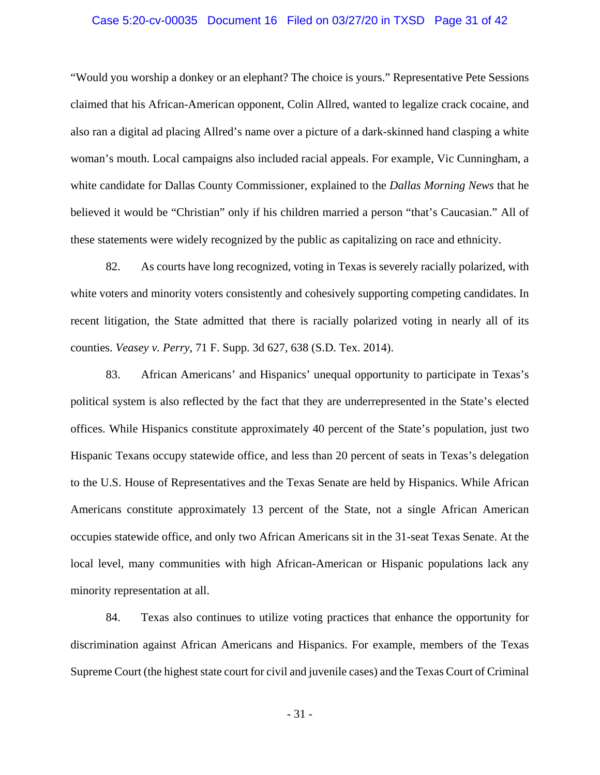### Case 5:20-cv-00035 Document 16 Filed on 03/27/20 in TXSD Page 31 of 42

"Would you worship a donkey or an elephant? The choice is yours." Representative Pete Sessions claimed that his African-American opponent, Colin Allred, wanted to legalize crack cocaine, and also ran a digital ad placing Allred's name over a picture of a dark-skinned hand clasping a white woman's mouth. Local campaigns also included racial appeals. For example, Vic Cunningham, a white candidate for Dallas County Commissioner, explained to the *Dallas Morning News* that he believed it would be "Christian" only if his children married a person "that's Caucasian." All of these statements were widely recognized by the public as capitalizing on race and ethnicity.

82. As courts have long recognized, voting in Texas is severely racially polarized, with white voters and minority voters consistently and cohesively supporting competing candidates. In recent litigation, the State admitted that there is racially polarized voting in nearly all of its counties. *Veasey v. Perry*, 71 F. Supp. 3d 627, 638 (S.D. Tex. 2014).

83. African Americans' and Hispanics' unequal opportunity to participate in Texas's political system is also reflected by the fact that they are underrepresented in the State's elected offices. While Hispanics constitute approximately 40 percent of the State's population, just two Hispanic Texans occupy statewide office, and less than 20 percent of seats in Texas's delegation to the U.S. House of Representatives and the Texas Senate are held by Hispanics. While African Americans constitute approximately 13 percent of the State, not a single African American occupies statewide office, and only two African Americans sit in the 31-seat Texas Senate. At the local level, many communities with high African-American or Hispanic populations lack any minority representation at all.

84. Texas also continues to utilize voting practices that enhance the opportunity for discrimination against African Americans and Hispanics. For example, members of the Texas Supreme Court (the highest state court for civil and juvenile cases) and the Texas Court of Criminal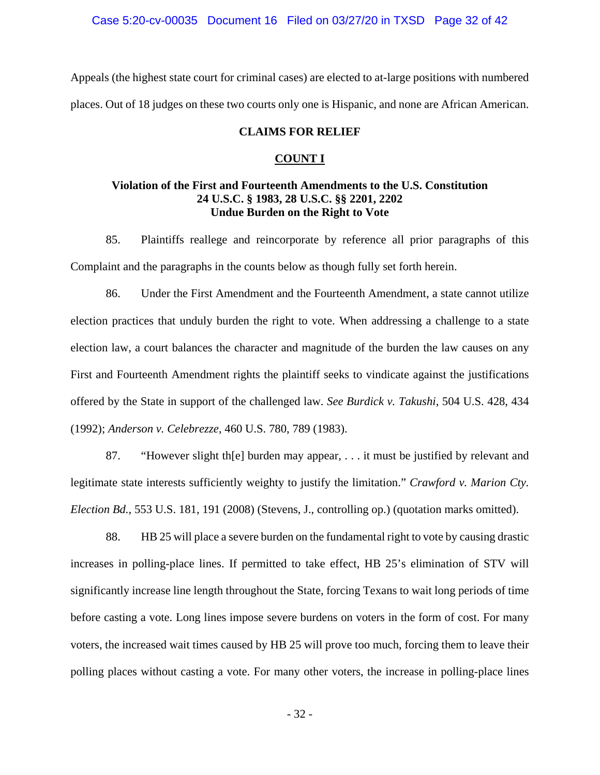Appeals (the highest state court for criminal cases) are elected to at-large positions with numbered places. Out of 18 judges on these two courts only one is Hispanic, and none are African American.

### **CLAIMS FOR RELIEF**

#### **COUNT I**

### **Violation of the First and Fourteenth Amendments to the U.S. Constitution 24 U.S.C. § 1983, 28 U.S.C. §§ 2201, 2202 Undue Burden on the Right to Vote**

85. Plaintiffs reallege and reincorporate by reference all prior paragraphs of this Complaint and the paragraphs in the counts below as though fully set forth herein.

86. Under the First Amendment and the Fourteenth Amendment, a state cannot utilize election practices that unduly burden the right to vote. When addressing a challenge to a state election law, a court balances the character and magnitude of the burden the law causes on any First and Fourteenth Amendment rights the plaintiff seeks to vindicate against the justifications offered by the State in support of the challenged law. *See Burdick v. Takushi*, 504 U.S. 428, 434 (1992); *Anderson v. Celebrezze*, 460 U.S. 780, 789 (1983).

87. "However slight th[e] burden may appear, . . . it must be justified by relevant and legitimate state interests sufficiently weighty to justify the limitation." *Crawford v. Marion Cty. Election Bd.*, 553 U.S. 181, 191 (2008) (Stevens, J., controlling op.) (quotation marks omitted).

88. HB 25 will place a severe burden on the fundamental right to vote by causing drastic increases in polling-place lines. If permitted to take effect, HB 25's elimination of STV will significantly increase line length throughout the State, forcing Texans to wait long periods of time before casting a vote. Long lines impose severe burdens on voters in the form of cost. For many voters, the increased wait times caused by HB 25 will prove too much, forcing them to leave their polling places without casting a vote. For many other voters, the increase in polling-place lines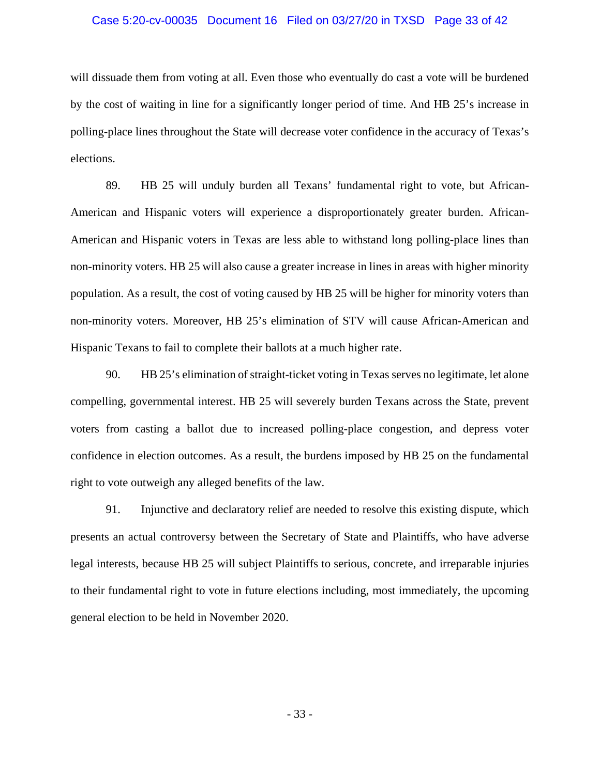### Case 5:20-cv-00035 Document 16 Filed on 03/27/20 in TXSD Page 33 of 42

will dissuade them from voting at all. Even those who eventually do cast a vote will be burdened by the cost of waiting in line for a significantly longer period of time. And HB 25's increase in polling-place lines throughout the State will decrease voter confidence in the accuracy of Texas's elections.

89. HB 25 will unduly burden all Texans' fundamental right to vote, but African-American and Hispanic voters will experience a disproportionately greater burden. African-American and Hispanic voters in Texas are less able to withstand long polling-place lines than non-minority voters. HB 25 will also cause a greater increase in lines in areas with higher minority population. As a result, the cost of voting caused by HB 25 will be higher for minority voters than non-minority voters. Moreover, HB 25's elimination of STV will cause African-American and Hispanic Texans to fail to complete their ballots at a much higher rate.

90. HB 25's elimination of straight-ticket voting in Texas serves no legitimate, let alone compelling, governmental interest. HB 25 will severely burden Texans across the State, prevent voters from casting a ballot due to increased polling-place congestion, and depress voter confidence in election outcomes. As a result, the burdens imposed by HB 25 on the fundamental right to vote outweigh any alleged benefits of the law.

91. Injunctive and declaratory relief are needed to resolve this existing dispute, which presents an actual controversy between the Secretary of State and Plaintiffs, who have adverse legal interests, because HB 25 will subject Plaintiffs to serious, concrete, and irreparable injuries to their fundamental right to vote in future elections including, most immediately, the upcoming general election to be held in November 2020.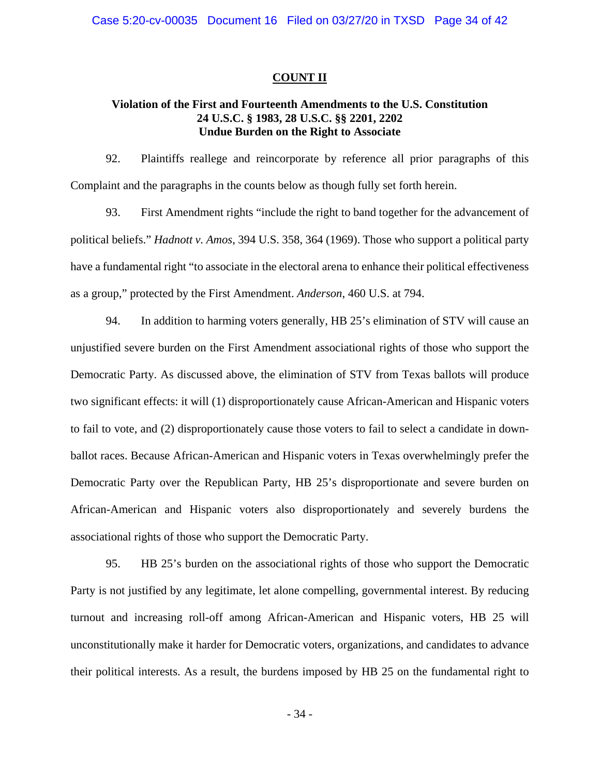### **COUNT II**

## **Violation of the First and Fourteenth Amendments to the U.S. Constitution 24 U.S.C. § 1983, 28 U.S.C. §§ 2201, 2202 Undue Burden on the Right to Associate**

92. Plaintiffs reallege and reincorporate by reference all prior paragraphs of this Complaint and the paragraphs in the counts below as though fully set forth herein.

93. First Amendment rights "include the right to band together for the advancement of political beliefs." *Hadnott v. Amos*, 394 U.S. 358, 364 (1969). Those who support a political party have a fundamental right "to associate in the electoral arena to enhance their political effectiveness as a group," protected by the First Amendment. *Anderson*, 460 U.S. at 794.

94. In addition to harming voters generally, HB 25's elimination of STV will cause an unjustified severe burden on the First Amendment associational rights of those who support the Democratic Party. As discussed above, the elimination of STV from Texas ballots will produce two significant effects: it will (1) disproportionately cause African-American and Hispanic voters to fail to vote, and (2) disproportionately cause those voters to fail to select a candidate in downballot races. Because African-American and Hispanic voters in Texas overwhelmingly prefer the Democratic Party over the Republican Party, HB 25's disproportionate and severe burden on African-American and Hispanic voters also disproportionately and severely burdens the associational rights of those who support the Democratic Party.

95. HB 25's burden on the associational rights of those who support the Democratic Party is not justified by any legitimate, let alone compelling, governmental interest. By reducing turnout and increasing roll-off among African-American and Hispanic voters, HB 25 will unconstitutionally make it harder for Democratic voters, organizations, and candidates to advance their political interests. As a result, the burdens imposed by HB 25 on the fundamental right to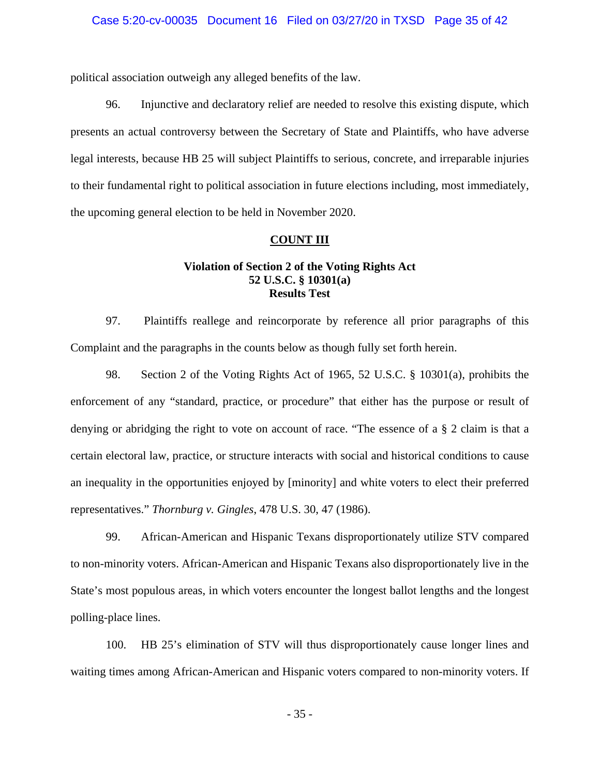political association outweigh any alleged benefits of the law.

96. Injunctive and declaratory relief are needed to resolve this existing dispute, which presents an actual controversy between the Secretary of State and Plaintiffs, who have adverse legal interests, because HB 25 will subject Plaintiffs to serious, concrete, and irreparable injuries to their fundamental right to political association in future elections including, most immediately, the upcoming general election to be held in November 2020.

### **COUNT III**

## **Violation of Section 2 of the Voting Rights Act 52 U.S.C. § 10301(a) Results Test**

97. Plaintiffs reallege and reincorporate by reference all prior paragraphs of this Complaint and the paragraphs in the counts below as though fully set forth herein.

98. Section 2 of the Voting Rights Act of 1965, 52 U.S.C. § 10301(a), prohibits the enforcement of any "standard, practice, or procedure" that either has the purpose or result of denying or abridging the right to vote on account of race. "The essence of a § 2 claim is that a certain electoral law, practice, or structure interacts with social and historical conditions to cause an inequality in the opportunities enjoyed by [minority] and white voters to elect their preferred representatives." *Thornburg v. Gingles*, 478 U.S. 30, 47 (1986).

99. African-American and Hispanic Texans disproportionately utilize STV compared to non-minority voters. African-American and Hispanic Texans also disproportionately live in the State's most populous areas, in which voters encounter the longest ballot lengths and the longest polling-place lines.

100. HB 25's elimination of STV will thus disproportionately cause longer lines and waiting times among African-American and Hispanic voters compared to non-minority voters. If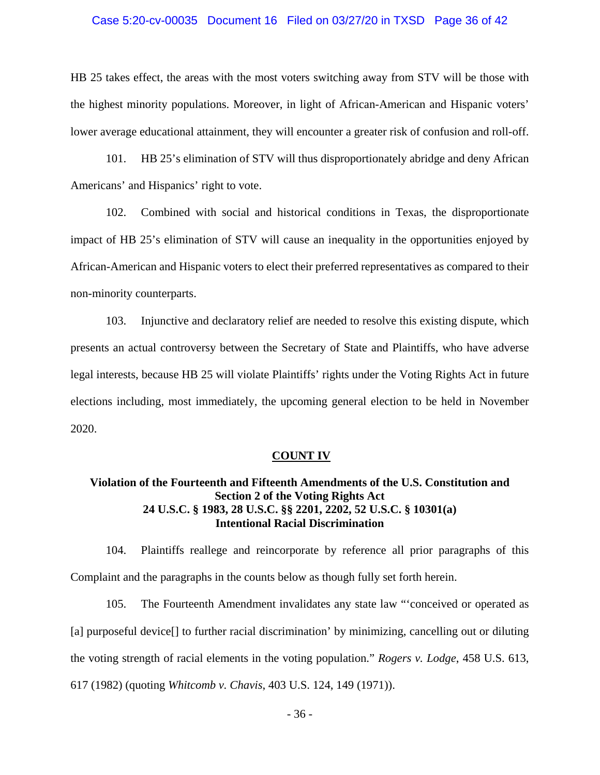### Case 5:20-cv-00035 Document 16 Filed on 03/27/20 in TXSD Page 36 of 42

HB 25 takes effect, the areas with the most voters switching away from STV will be those with the highest minority populations. Moreover, in light of African-American and Hispanic voters' lower average educational attainment, they will encounter a greater risk of confusion and roll-off.

101. HB 25's elimination of STV will thus disproportionately abridge and deny African Americans' and Hispanics' right to vote.

102. Combined with social and historical conditions in Texas, the disproportionate impact of HB 25's elimination of STV will cause an inequality in the opportunities enjoyed by African-American and Hispanic voters to elect their preferred representatives as compared to their non-minority counterparts.

103. Injunctive and declaratory relief are needed to resolve this existing dispute, which presents an actual controversy between the Secretary of State and Plaintiffs, who have adverse legal interests, because HB 25 will violate Plaintiffs' rights under the Voting Rights Act in future elections including, most immediately, the upcoming general election to be held in November 2020.

#### **COUNT IV**

# **Violation of the Fourteenth and Fifteenth Amendments of the U.S. Constitution and Section 2 of the Voting Rights Act 24 U.S.C. § 1983, 28 U.S.C. §§ 2201, 2202, 52 U.S.C. § 10301(a) Intentional Racial Discrimination**

104. Plaintiffs reallege and reincorporate by reference all prior paragraphs of this Complaint and the paragraphs in the counts below as though fully set forth herein.

105. The Fourteenth Amendment invalidates any state law "'conceived or operated as [a] purposeful device<sup>[]</sup> to further racial discrimination' by minimizing, cancelling out or diluting the voting strength of racial elements in the voting population." *Rogers v. Lodge*, 458 U.S. 613, 617 (1982) (quoting *Whitcomb v. Chavis*, 403 U.S. 124, 149 (1971)).

- 36 -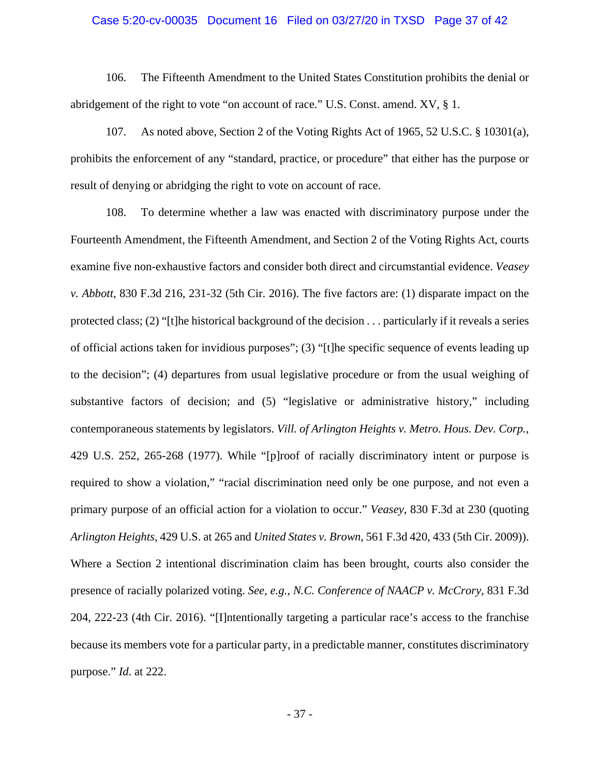### Case 5:20-cv-00035 Document 16 Filed on 03/27/20 in TXSD Page 37 of 42

106. The Fifteenth Amendment to the United States Constitution prohibits the denial or abridgement of the right to vote "on account of race." U.S. Const. amend. XV, § 1.

107. As noted above, Section 2 of the Voting Rights Act of 1965, 52 U.S.C. § 10301(a), prohibits the enforcement of any "standard, practice, or procedure" that either has the purpose or result of denying or abridging the right to vote on account of race.

108. To determine whether a law was enacted with discriminatory purpose under the Fourteenth Amendment, the Fifteenth Amendment, and Section 2 of the Voting Rights Act, courts examine five non-exhaustive factors and consider both direct and circumstantial evidence. *Veasey v. Abbott*, 830 F.3d 216, 231-32 (5th Cir. 2016). The five factors are: (1) disparate impact on the protected class; (2) "[t]he historical background of the decision . . . particularly if it reveals a series of official actions taken for invidious purposes"; (3) "[t]he specific sequence of events leading up to the decision"; (4) departures from usual legislative procedure or from the usual weighing of substantive factors of decision; and (5) "legislative or administrative history," including contemporaneous statements by legislators. *Vill. of Arlington Heights v. Metro. Hous. Dev. Corp.*, 429 U.S. 252, 265-268 (1977). While "[p]roof of racially discriminatory intent or purpose is required to show a violation," "racial discrimination need only be one purpose, and not even a primary purpose of an official action for a violation to occur." *Veasey*, 830 F.3d at 230 (quoting *Arlington Heights*, 429 U.S. at 265 and *United States v. Brown*, 561 F.3d 420, 433 (5th Cir. 2009)). Where a Section 2 intentional discrimination claim has been brought, courts also consider the presence of racially polarized voting. *See, e.g., N.C. Conference of NAACP v. McCrory*, 831 F.3d 204, 222-23 (4th Cir. 2016). "[I]ntentionally targeting a particular race's access to the franchise because its members vote for a particular party, in a predictable manner, constitutes discriminatory purpose." *Id*. at 222.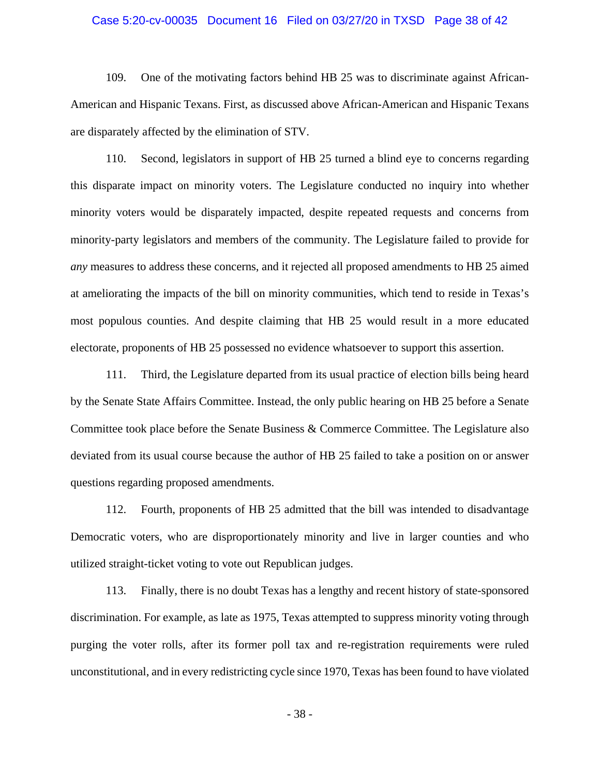### Case 5:20-cv-00035 Document 16 Filed on 03/27/20 in TXSD Page 38 of 42

109. One of the motivating factors behind HB 25 was to discriminate against African-American and Hispanic Texans. First, as discussed above African-American and Hispanic Texans are disparately affected by the elimination of STV.

110. Second, legislators in support of HB 25 turned a blind eye to concerns regarding this disparate impact on minority voters. The Legislature conducted no inquiry into whether minority voters would be disparately impacted, despite repeated requests and concerns from minority-party legislators and members of the community. The Legislature failed to provide for *any* measures to address these concerns, and it rejected all proposed amendments to HB 25 aimed at ameliorating the impacts of the bill on minority communities, which tend to reside in Texas's most populous counties. And despite claiming that HB 25 would result in a more educated electorate, proponents of HB 25 possessed no evidence whatsoever to support this assertion.

111. Third, the Legislature departed from its usual practice of election bills being heard by the Senate State Affairs Committee. Instead, the only public hearing on HB 25 before a Senate Committee took place before the Senate Business & Commerce Committee. The Legislature also deviated from its usual course because the author of HB 25 failed to take a position on or answer questions regarding proposed amendments.

112. Fourth, proponents of HB 25 admitted that the bill was intended to disadvantage Democratic voters, who are disproportionately minority and live in larger counties and who utilized straight-ticket voting to vote out Republican judges.

113. Finally, there is no doubt Texas has a lengthy and recent history of state-sponsored discrimination. For example, as late as 1975, Texas attempted to suppress minority voting through purging the voter rolls, after its former poll tax and re-registration requirements were ruled unconstitutional, and in every redistricting cycle since 1970, Texas has been found to have violated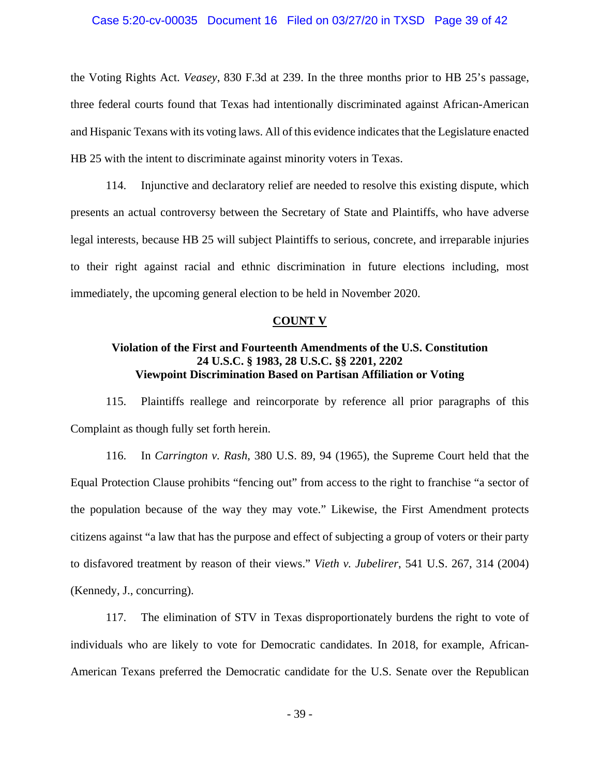### Case 5:20-cv-00035 Document 16 Filed on 03/27/20 in TXSD Page 39 of 42

the Voting Rights Act. *Veasey*, 830 F.3d at 239. In the three months prior to HB 25's passage, three federal courts found that Texas had intentionally discriminated against African-American and Hispanic Texans with its voting laws. All of this evidence indicates that the Legislature enacted HB 25 with the intent to discriminate against minority voters in Texas.

114. Injunctive and declaratory relief are needed to resolve this existing dispute, which presents an actual controversy between the Secretary of State and Plaintiffs, who have adverse legal interests, because HB 25 will subject Plaintiffs to serious, concrete, and irreparable injuries to their right against racial and ethnic discrimination in future elections including, most immediately, the upcoming general election to be held in November 2020.

#### **COUNT V**

# **Violation of the First and Fourteenth Amendments of the U.S. Constitution 24 U.S.C. § 1983, 28 U.S.C. §§ 2201, 2202 Viewpoint Discrimination Based on Partisan Affiliation or Voting**

115. Plaintiffs reallege and reincorporate by reference all prior paragraphs of this Complaint as though fully set forth herein.

116. In *Carrington v. Rash*, 380 U.S. 89, 94 (1965), the Supreme Court held that the Equal Protection Clause prohibits "fencing out" from access to the right to franchise "a sector of the population because of the way they may vote." Likewise, the First Amendment protects citizens against "a law that has the purpose and effect of subjecting a group of voters or their party to disfavored treatment by reason of their views." *Vieth v. Jubelirer*, 541 U.S. 267, 314 (2004) (Kennedy, J., concurring).

117. The elimination of STV in Texas disproportionately burdens the right to vote of individuals who are likely to vote for Democratic candidates. In 2018, for example, African-American Texans preferred the Democratic candidate for the U.S. Senate over the Republican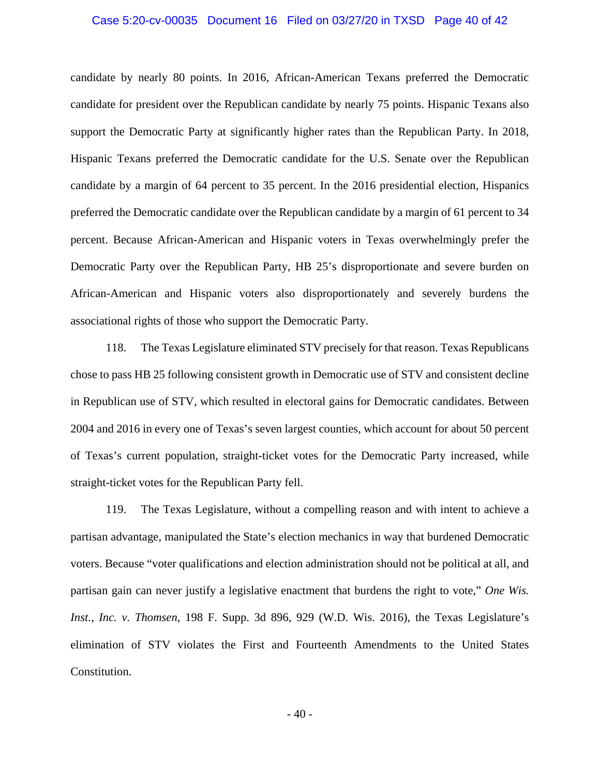### Case 5:20-cv-00035 Document 16 Filed on 03/27/20 in TXSD Page 40 of 42

candidate by nearly 80 points. In 2016, African-American Texans preferred the Democratic candidate for president over the Republican candidate by nearly 75 points. Hispanic Texans also support the Democratic Party at significantly higher rates than the Republican Party. In 2018, Hispanic Texans preferred the Democratic candidate for the U.S. Senate over the Republican candidate by a margin of 64 percent to 35 percent. In the 2016 presidential election, Hispanics preferred the Democratic candidate over the Republican candidate by a margin of 61 percent to 34 percent. Because African-American and Hispanic voters in Texas overwhelmingly prefer the Democratic Party over the Republican Party, HB 25's disproportionate and severe burden on African-American and Hispanic voters also disproportionately and severely burdens the associational rights of those who support the Democratic Party.

118. The Texas Legislature eliminated STV precisely for that reason. Texas Republicans chose to pass HB 25 following consistent growth in Democratic use of STV and consistent decline in Republican use of STV, which resulted in electoral gains for Democratic candidates. Between 2004 and 2016 in every one of Texas's seven largest counties, which account for about 50 percent of Texas's current population, straight-ticket votes for the Democratic Party increased, while straight-ticket votes for the Republican Party fell.

119. The Texas Legislature, without a compelling reason and with intent to achieve a partisan advantage, manipulated the State's election mechanics in way that burdened Democratic voters. Because "voter qualifications and election administration should not be political at all, and partisan gain can never justify a legislative enactment that burdens the right to vote," *One Wis. Inst., Inc. v. Thomsen*, 198 F. Supp. 3d 896, 929 (W.D. Wis. 2016), the Texas Legislature's elimination of STV violates the First and Fourteenth Amendments to the United States Constitution.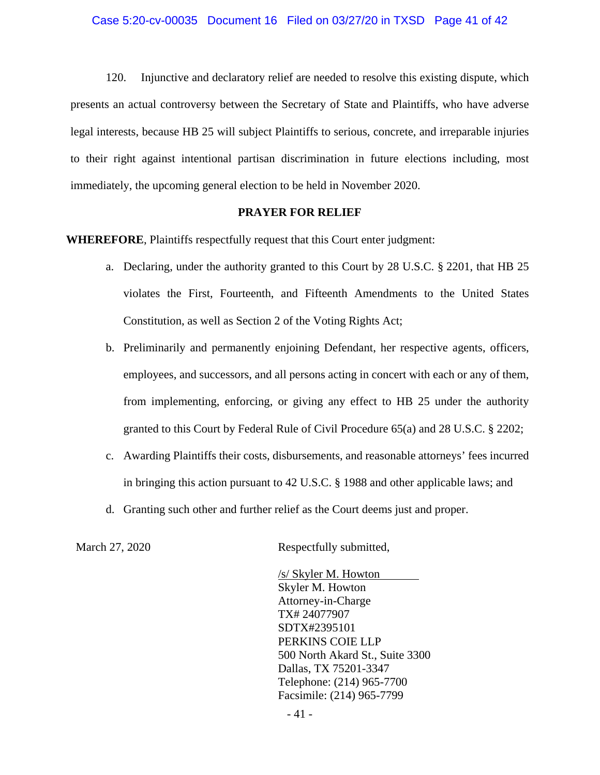120. Injunctive and declaratory relief are needed to resolve this existing dispute, which presents an actual controversy between the Secretary of State and Plaintiffs, who have adverse legal interests, because HB 25 will subject Plaintiffs to serious, concrete, and irreparable injuries to their right against intentional partisan discrimination in future elections including, most immediately, the upcoming general election to be held in November 2020.

### **PRAYER FOR RELIEF**

**WHEREFORE**, Plaintiffs respectfully request that this Court enter judgment:

- a. Declaring, under the authority granted to this Court by 28 U.S.C. § 2201, that HB 25 violates the First, Fourteenth, and Fifteenth Amendments to the United States Constitution, as well as Section 2 of the Voting Rights Act;
- b. Preliminarily and permanently enjoining Defendant, her respective agents, officers, employees, and successors, and all persons acting in concert with each or any of them, from implementing, enforcing, or giving any effect to HB 25 under the authority granted to this Court by Federal Rule of Civil Procedure 65(a) and 28 U.S.C. § 2202;
- c. Awarding Plaintiffs their costs, disbursements, and reasonable attorneys' fees incurred in bringing this action pursuant to 42 U.S.C. § 1988 and other applicable laws; and
- d. Granting such other and further relief as the Court deems just and proper.

March 27, 2020 Respectfully submitted,

/s/ Skyler M. Howton Skyler M. Howton Attorney-in-Charge TX# 24077907 SDTX#2395101 PERKINS COIE LLP 500 North Akard St., Suite 3300 Dallas, TX 75201-3347 Telephone: (214) 965-7700 Facsimile: (214) 965-7799

- 41 -